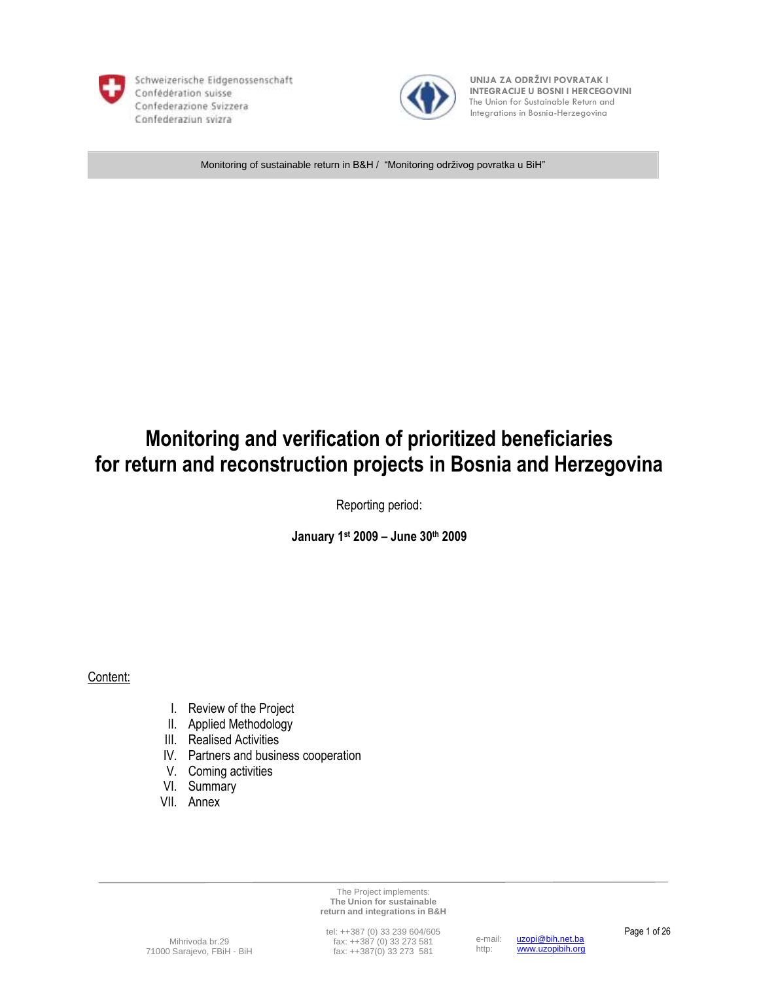

Schweizerische Eidgenossenschaft Confédération suisse Confederazione Svizzera Confederaziun svizra



 **UNIJA ZA ODRŽIVI POVRATAK I INTEGRACIJE U BOSNI I HERCEGOVINI** The Union for Sustainable Return and Integrations in Bosnia-Herzegovina

Monitoring of sustainable return in B&H / "Monitoring održivog povratka u BiH"

# **Monitoring and verification of prioritized beneficiaries for return and reconstruction projects in Bosnia and Herzegovina**

Reporting period:

**January 1st 2009 – June 30th 2009**

Content:

- I. Review of the Project
- II. Applied Methodology
- III. Realised Activities
- IV. Partners and business cooperation
- V. Coming activities
- VI. Summary
- VII. Annex

The Project implements: **The Union for sustainable return and integrations in B&H**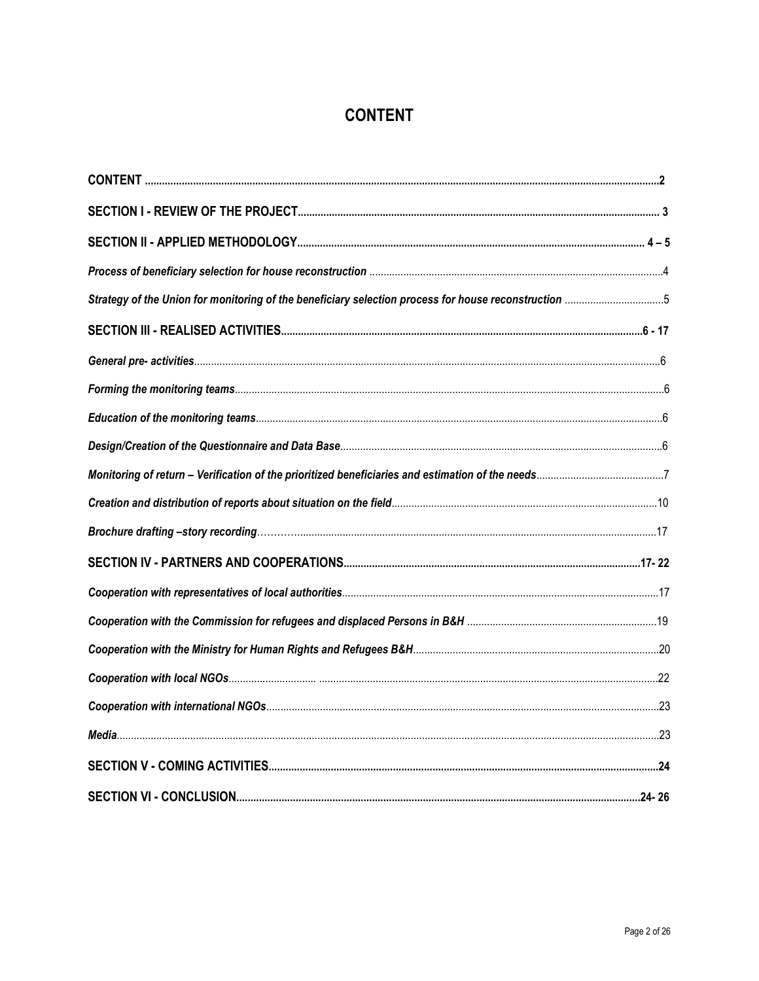## **CONTENT**

| Strategy of the Union for monitoring of the beneficiary selection process for house reconstruction 5 |  |
|------------------------------------------------------------------------------------------------------|--|
|                                                                                                      |  |
|                                                                                                      |  |
|                                                                                                      |  |
|                                                                                                      |  |
|                                                                                                      |  |
|                                                                                                      |  |
|                                                                                                      |  |
|                                                                                                      |  |
|                                                                                                      |  |
|                                                                                                      |  |
|                                                                                                      |  |
|                                                                                                      |  |
|                                                                                                      |  |
|                                                                                                      |  |
|                                                                                                      |  |
|                                                                                                      |  |
|                                                                                                      |  |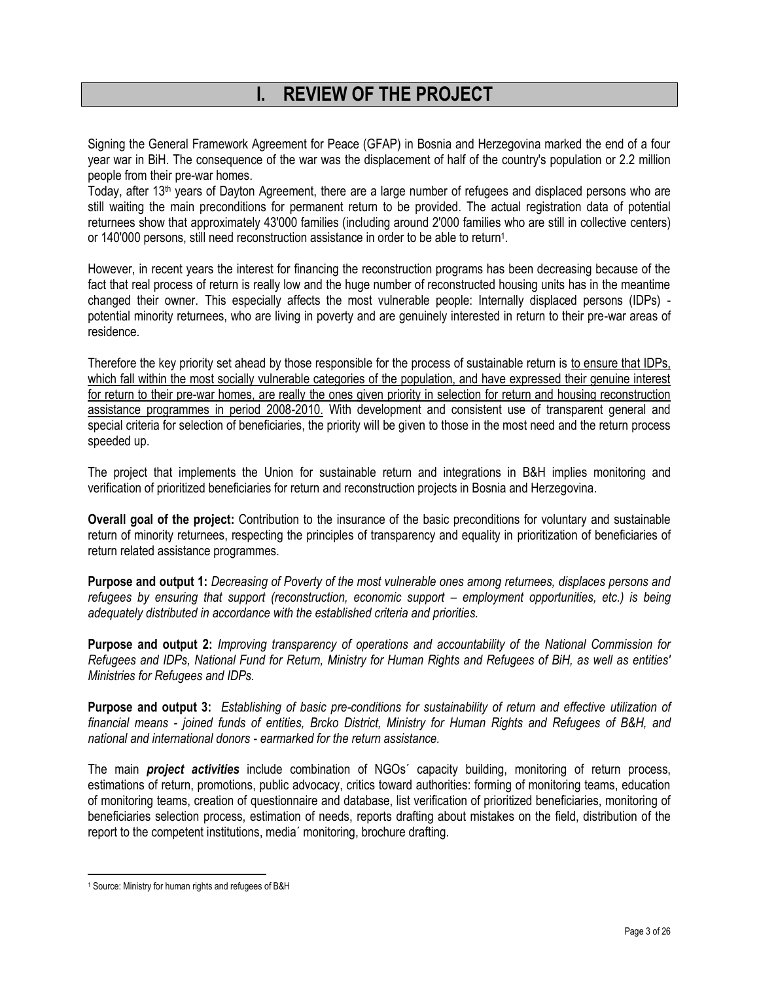## **I. REVIEW OF THE PROJECT**

Signing the General Framework Agreement for Peace (GFAP) in Bosnia and Herzegovina marked the end of a four year war in BiH. The consequence of the war was the displacement of half of the country's population or 2.2 million people from their pre-war homes.

Today, after 13th years of Dayton Agreement, there are a large number of refugees and displaced persons who are still waiting the main preconditions for permanent return to be provided. The actual registration data of potential returnees show that approximately 43'000 families (including around 2'000 families who are still in collective centers) or 140'000 persons, still need reconstruction assistance in order to be able to return<sup>1</sup>.

However, in recent years the interest for financing the reconstruction programs has been decreasing because of the fact that real process of return is really low and the huge number of reconstructed housing units has in the meantime changed their owner. This especially affects the most vulnerable people: Internally displaced persons (IDPs) potential minority returnees, who are living in poverty and are genuinely interested in return to their pre-war areas of residence.

Therefore the key priority set ahead by those responsible for the process of sustainable return is to ensure that IDPs, which fall within the most socially vulnerable categories of the population, and have expressed their genuine interest for return to their pre-war homes, are really the ones given priority in selection for return and housing reconstruction assistance programmes in period 2008-2010. With development and consistent use of transparent general and special criteria for selection of beneficiaries, the priority will be given to those in the most need and the return process speeded up.

The project that implements the Union for sustainable return and integrations in B&H implies monitoring and verification of prioritized beneficiaries for return and reconstruction projects in Bosnia and Herzegovina.

**Overall goal of the project:** Contribution to the insurance of the basic preconditions for voluntary and sustainable return of minority returnees, respecting the principles of transparency and equality in prioritization of beneficiaries of return related assistance programmes.

**Purpose and output 1:** *Decreasing of Poverty of the most vulnerable ones among returnees, displaces persons and refugees by ensuring that support (reconstruction, economic support – employment opportunities, etc.) is being adequately distributed in accordance with the established criteria and priorities.* 

**Purpose and output 2:** *Improving transparency of operations and accountability of the National Commission for Refugees and IDPs, National Fund for Return, Ministry for Human Rights and Refugees of BiH, as well as entities' Ministries for Refugees and IDPs.*

**Purpose and output 3:** *Establishing of basic pre-conditions for sustainability of return and effective utilization of financial means - joined funds of entities, Brcko District, Ministry for Human Rights and Refugees of B&H, and national and international donors - earmarked for the return assistance.*

The main *project activities* include combination of NGOs´ capacity building, monitoring of return process, estimations of return, promotions, public advocacy, critics toward authorities: forming of monitoring teams, education of monitoring teams, creation of questionnaire and database, list verification of prioritized beneficiaries, monitoring of beneficiaries selection process, estimation of needs, reports drafting about mistakes on the field, distribution of the report to the competent institutions, media´ monitoring, brochure drafting.

<sup>1</sup> Source: Ministry for human rights and refugees of B&H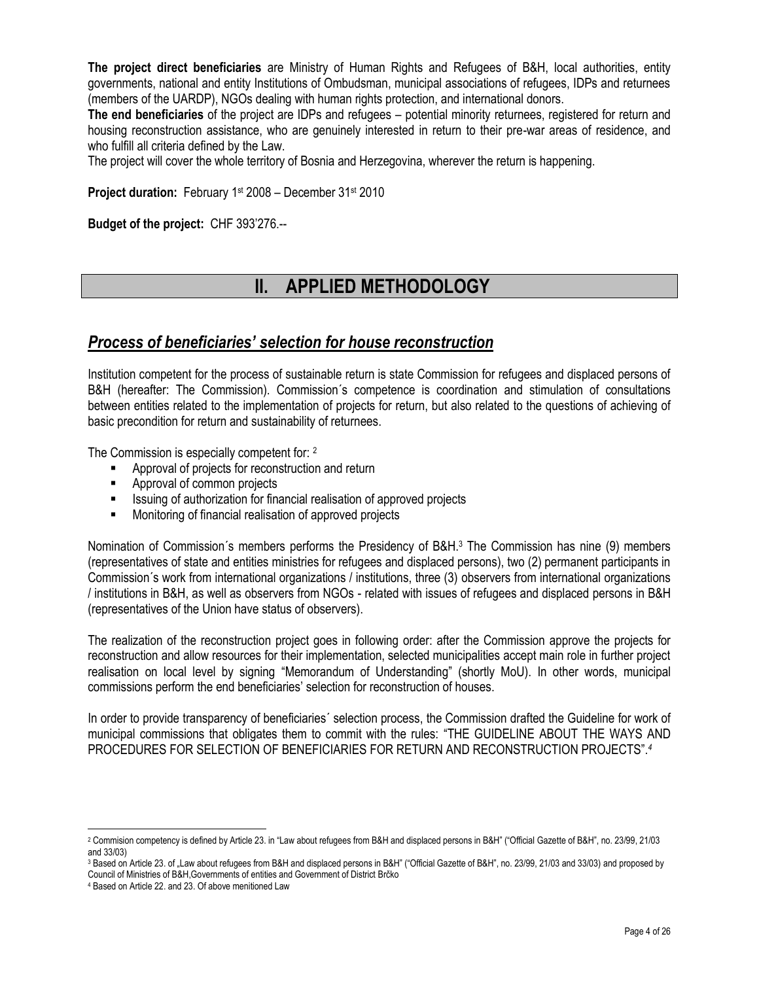**The project direct beneficiaries** are Ministry of Human Rights and Refugees of B&H, local authorities, entity governments, national and entity Institutions of Ombudsman, municipal associations of refugees, IDPs and returnees (members of the UARDP), NGOs dealing with human rights protection, and international donors.

**The end beneficiaries** of the project are IDPs and refugees – potential minority returnees, registered for return and housing reconstruction assistance, who are genuinely interested in return to their pre-war areas of residence, and who fulfill all criteria defined by the Law.

The project will cover the whole territory of Bosnia and Herzegovina, wherever the return is happening.

**Project duration:** February 1st 2008 – December 31st 2010

**Budget of the project:** CHF 393'276.--

## **II. APPLIED METHODOLOGY**

### *Process of beneficiaries' selection for house reconstruction*

Institution competent for the process of sustainable return is state Commission for refugees and displaced persons of B&H (hereafter: The Commission). Commission´s competence is coordination and stimulation of consultations between entities related to the implementation of projects for return, but also related to the questions of achieving of basic precondition for return and sustainability of returnees.

The Commission is especially competent for: <sup>2</sup>

- Approval of projects for reconstruction and return
- **Approval of common projects**
- Issuing of authorization for financial realisation of approved projects
- **Monitoring of financial realisation of approved projects**

Nomination of Commission´s members performs the Presidency of B&H.<sup>3</sup> The Commission has nine (9) members (representatives of state and entities ministries for refugees and displaced persons), two (2) permanent participants in Commission´s work from international organizations / institutions, three (3) observers from international organizations / institutions in B&H, as well as observers from NGOs - related with issues of refugees and displaced persons in B&H (representatives of the Union have status of observers).

The realization of the reconstruction project goes in following order: after the Commission approve the projects for reconstruction and allow resources for their implementation, selected municipalities accept main role in further project realisation on local level by signing "Memorandum of Understanding" (shortly MoU). In other words, municipal commissions perform the end beneficiaries' selection for reconstruction of houses.

In order to provide transparency of beneficiaries´ selection process, the Commission drafted the Guideline for work of municipal commissions that obligates them to commit with the rules: "THE GUIDELINE ABOUT THE WAYS AND PROCEDURES FOR SELECTION OF BENEFICIARIES FOR RETURN AND RECONSTRUCTION PROJECTS".*<sup>4</sup>*

<sup>2</sup> Commision competency is defined by Article 23. in "Law about refugees from B&H and displaced persons in B&H" ("Official Gazette of B&H", no. 23/99, 21/03 and 33/03)

<sup>&</sup>lt;sup>3</sup> Based on Article 23. of "Law about refugees from B&H and displaced persons in B&H" ("Official Gazette of B&H", no. 23/99, 21/03 and 33/03) and proposed by Council of Ministries of B&H,Governments of entities and Government of District Brĉko

<sup>4</sup> Based on Article 22. and 23. Of above menitioned Law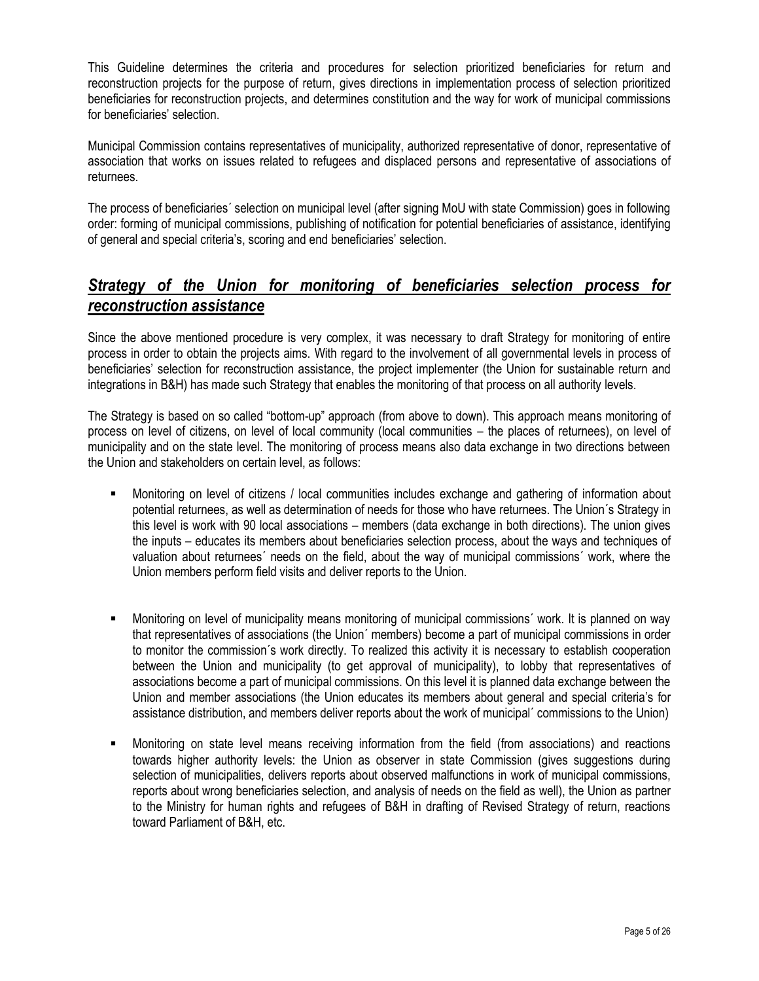This Guideline determines the criteria and procedures for selection prioritized beneficiaries for return and reconstruction projects for the purpose of return, gives directions in implementation process of selection prioritized beneficiaries for reconstruction projects, and determines constitution and the way for work of municipal commissions for beneficiaries' selection.

Municipal Commission contains representatives of municipality, authorized representative of donor, representative of association that works on issues related to refugees and displaced persons and representative of associations of returnees.

The process of beneficiaries´ selection on municipal level (after signing MoU with state Commission) goes in following order: forming of municipal commissions, publishing of notification for potential beneficiaries of assistance, identifying of general and special criteria's, scoring and end beneficiaries' selection.

### *Strategy of the Union for monitoring of beneficiaries selection process for reconstruction assistance*

Since the above mentioned procedure is very complex, it was necessary to draft Strategy for monitoring of entire process in order to obtain the projects aims. With regard to the involvement of all governmental levels in process of beneficiaries' selection for reconstruction assistance, the project implementer (the Union for sustainable return and integrations in B&H) has made such Strategy that enables the monitoring of that process on all authority levels.

The Strategy is based on so called "bottom-up" approach (from above to down). This approach means monitoring of process on level of citizens, on level of local community (local communities – the places of returnees), on level of municipality and on the state level. The monitoring of process means also data exchange in two directions between the Union and stakeholders on certain level, as follows:

- Monitoring on level of citizens / local communities includes exchange and gathering of information about potential returnees, as well as determination of needs for those who have returnees. The Union´s Strategy in this level is work with 90 local associations – members (data exchange in both directions). The union gives the inputs – educates its members about beneficiaries selection process, about the ways and techniques of valuation about returnees´ needs on the field, about the way of municipal commissions´ work, where the Union members perform field visits and deliver reports to the Union.
- Monitoring on level of municipality means monitoring of municipal commissions´ work. It is planned on way that representatives of associations (the Union´ members) become a part of municipal commissions in order to monitor the commission´s work directly. To realized this activity it is necessary to establish cooperation between the Union and municipality (to get approval of municipality), to lobby that representatives of associations become a part of municipal commissions. On this level it is planned data exchange between the Union and member associations (the Union educates its members about general and special criteria's for assistance distribution, and members deliver reports about the work of municipal´ commissions to the Union)
- Monitoring on state level means receiving information from the field (from associations) and reactions towards higher authority levels: the Union as observer in state Commission (gives suggestions during selection of municipalities, delivers reports about observed malfunctions in work of municipal commissions, reports about wrong beneficiaries selection, and analysis of needs on the field as well), the Union as partner to the Ministry for human rights and refugees of B&H in drafting of Revised Strategy of return, reactions toward Parliament of B&H, etc.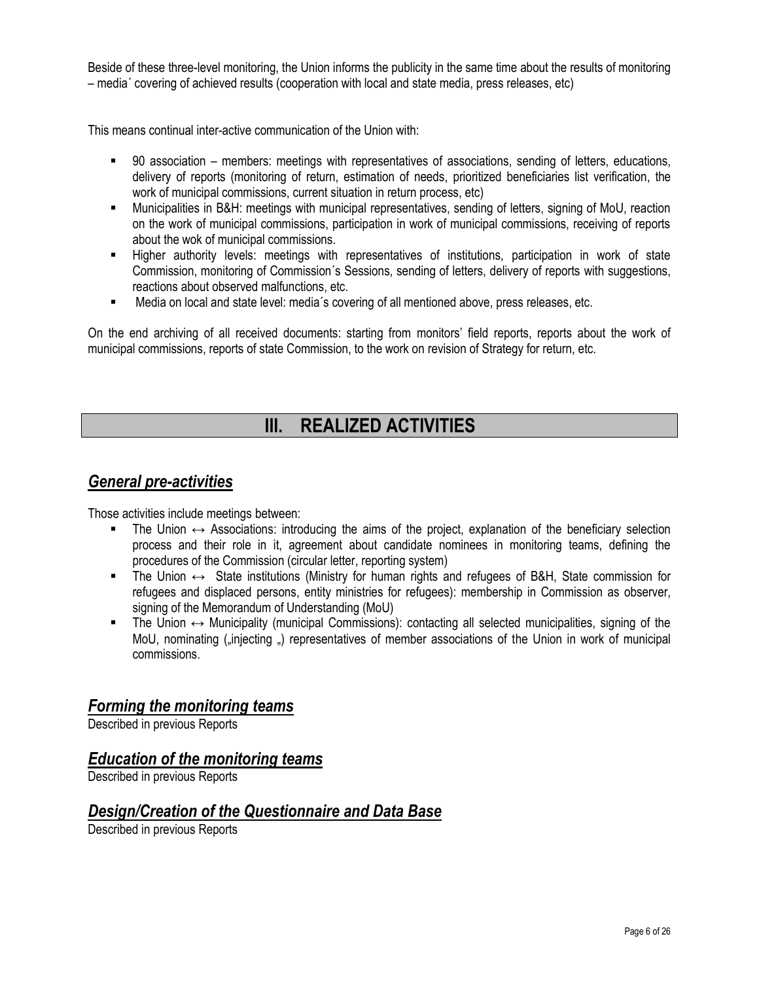Beside of these three-level monitoring, the Union informs the publicity in the same time about the results of monitoring – media´ covering of achieved results (cooperation with local and state media, press releases, etc)

This means continual inter-active communication of the Union with:

- 90 association members: meetings with representatives of associations, sending of letters, educations, delivery of reports (monitoring of return, estimation of needs, prioritized beneficiaries list verification, the work of municipal commissions, current situation in return process, etc)
- Municipalities in B&H: meetings with municipal representatives, sending of letters, signing of MoU, reaction on the work of municipal commissions, participation in work of municipal commissions, receiving of reports about the wok of municipal commissions.
- Higher authority levels: meetings with representatives of institutions, participation in work of state Commission, monitoring of Commission´s Sessions, sending of letters, delivery of reports with suggestions, reactions about observed malfunctions, etc.
- Media on local and state level: media´s covering of all mentioned above, press releases, etc.

On the end archiving of all received documents: starting from monitors' field reports, reports about the work of municipal commissions, reports of state Commission, to the work on revision of Strategy for return, etc.

## **III. REALIZED ACTIVITIES**

### *General pre-activities*

Those activities include meetings between:

- The Union  $\leftrightarrow$  Associations: introducing the aims of the project, explanation of the beneficiary selection process and their role in it, agreement about candidate nominees in monitoring teams, defining the procedures of the Commission (circular letter, reporting system)
- The Union  $\leftrightarrow$  State institutions (Ministry for human rights and refugees of B&H, State commission for refugees and displaced persons, entity ministries for refugees): membership in Commission as observer, signing of the Memorandum of Understanding (MoU)
- The Union ↔ Municipality (municipal Commissions): contacting all selected municipalities, signing of the MoU, nominating ("injecting") representatives of member associations of the Union in work of municipal commissions.

### *Forming the monitoring teams*

Described in previous Reports

### *Education of the monitoring teams*

Described in previous Reports

### *Design/Creation of the Questionnaire and Data Base*

Described in previous Reports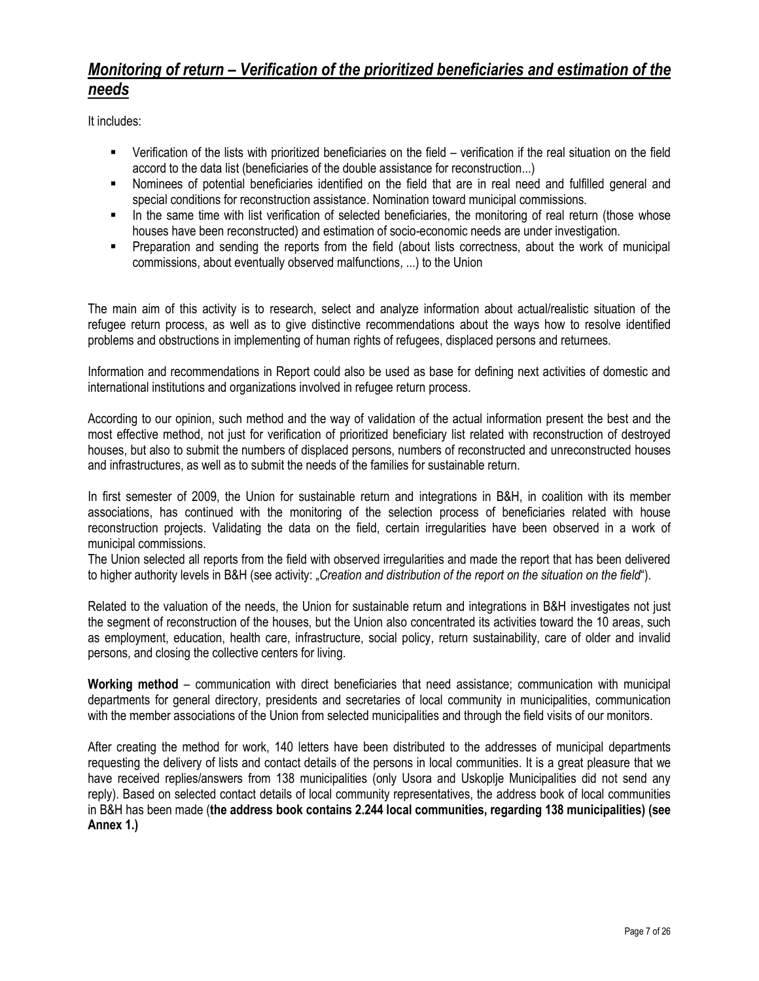### *Monitoring of return – Verification of the prioritized beneficiaries and estimation of the needs*

It includes:

- Verification of the lists with prioritized beneficiaries on the field verification if the real situation on the field accord to the data list (beneficiaries of the double assistance for reconstruction...)
- Nominees of potential beneficiaries identified on the field that are in real need and fulfilled general and special conditions for reconstruction assistance. Nomination toward municipal commissions.
- In the same time with list verification of selected beneficiaries, the monitoring of real return (those whose houses have been reconstructed) and estimation of socio-economic needs are under investigation.
- Preparation and sending the reports from the field (about lists correctness, about the work of municipal commissions, about eventually observed malfunctions, ...) to the Union

The main aim of this activity is to research, select and analyze information about actual/realistic situation of the refugee return process, as well as to give distinctive recommendations about the ways how to resolve identified problems and obstructions in implementing of human rights of refugees, displaced persons and returnees.

Information and recommendations in Report could also be used as base for defining next activities of domestic and international institutions and organizations involved in refugee return process.

According to our opinion, such method and the way of validation of the actual information present the best and the most effective method, not just for verification of prioritized beneficiary list related with reconstruction of destroyed houses, but also to submit the numbers of displaced persons, numbers of reconstructed and unreconstructed houses and infrastructures, as well as to submit the needs of the families for sustainable return.

In first semester of 2009, the Union for sustainable return and integrations in B&H, in coalition with its member associations, has continued with the monitoring of the selection process of beneficiaries related with house reconstruction projects. Validating the data on the field, certain irregularities have been observed in a work of municipal commissions.

The Union selected all reports from the field with observed irregularities and made the report that has been delivered to higher authority levels in B&H (see activity: "*Creation and distribution of the report on the situation on the field*").

Related to the valuation of the needs, the Union for sustainable return and integrations in B&H investigates not just the segment of reconstruction of the houses, but the Union also concentrated its activities toward the 10 areas, such as employment, education, health care, infrastructure, social policy, return sustainability, care of older and invalid persons, and closing the collective centers for living.

**Working method** – communication with direct beneficiaries that need assistance; communication with municipal departments for general directory, presidents and secretaries of local community in municipalities, communication with the member associations of the Union from selected municipalities and through the field visits of our monitors.

After creating the method for work, 140 letters have been distributed to the addresses of municipal departments requesting the delivery of lists and contact details of the persons in local communities. It is a great pleasure that we have received replies/answers from 138 municipalities (only Usora and Uskoplie Municipalities did not send any reply). Based on selected contact details of local community representatives, the address book of local communities in B&H has been made (**the address book contains 2.244 local communities, regarding 138 municipalities) (see Annex 1.)**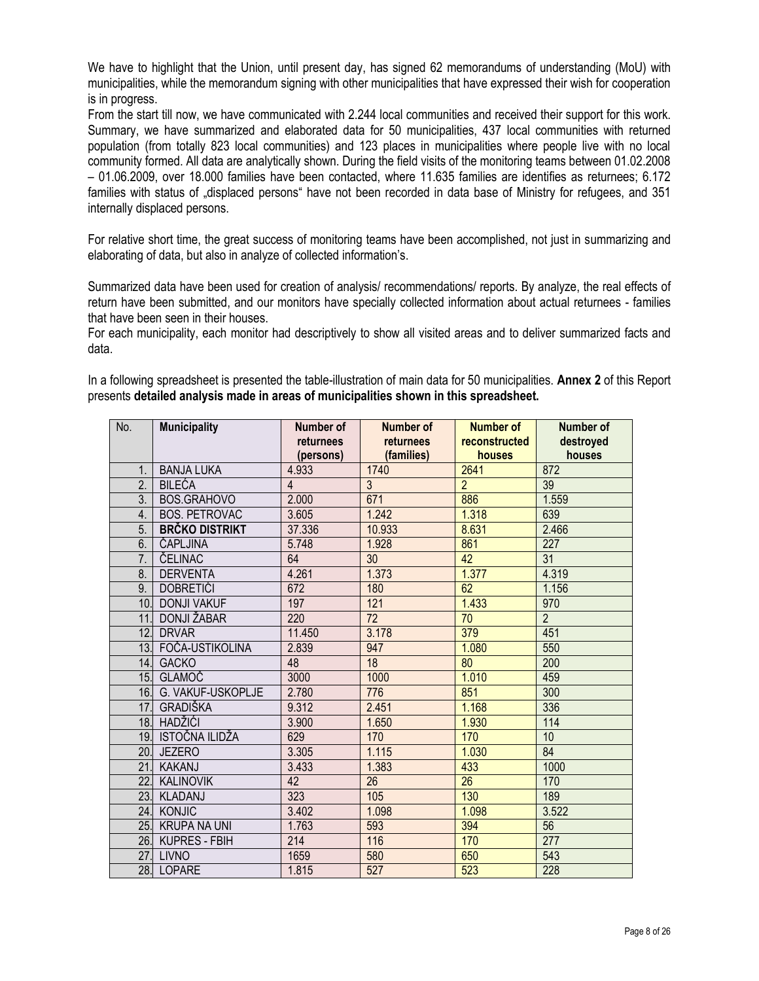We have to highlight that the Union, until present day, has signed 62 memorandums of understanding (MoU) with municipalities, while the memorandum signing with other municipalities that have expressed their wish for cooperation is in progress.

From the start till now, we have communicated with 2.244 local communities and received their support for this work. Summary, we have summarized and elaborated data for 50 municipalities, 437 local communities with returned population (from totally 823 local communities) and 123 places in municipalities where people live with no local community formed. All data are analytically shown. During the field visits of the monitoring teams between 01.02.2008 – 01.06.2009, over 18.000 families have been contacted, where 11.635 families are identifies as returnees; 6.172 families with status of "displaced persons" have not been recorded in data base of Ministry for refugees, and 351 internally displaced persons.

For relative short time, the great success of monitoring teams have been accomplished, not just in summarizing and elaborating of data, but also in analyze of collected information's.

Summarized data have been used for creation of analysis/ recommendations/ reports. By analyze, the real effects of return have been submitted, and our monitors have specially collected information about actual returnees - families that have been seen in their houses.

For each municipality, each monitor had descriptively to show all visited areas and to deliver summarized facts and data.

In a following spreadsheet is presented the table-illustration of main data for 50 municipalities. **Annex 2** of this Report presents **detailed analysis made in areas of municipalities shown in this spreadsheet.**

| No.              | <b>Municipality</b>   | Number of      | Number of       | <b>Number of</b> | Number of      |
|------------------|-----------------------|----------------|-----------------|------------------|----------------|
|                  |                       | returnees      | returnees       | reconstructed    | destroyed      |
|                  |                       | (persons)      | (families)      | houses           | houses         |
| 1.               | <b>BANJA LUKA</b>     | 4.933          | 1740            | 2641             | 872            |
| 2.               | <b>BILEĆA</b>         | $\overline{4}$ | $\overline{3}$  | $\overline{2}$   | 39             |
| 3.               | BOS.GRAHOVO           | 2.000          | 671             | 886              | 1.559          |
| 4.               | <b>BOS. PETROVAC</b>  | 3.605          | 1.242           | 1.318            | 639            |
| 5.               | <b>BRČKO DISTRIKT</b> | 37.336         | 10.933          | 8.631            | 2.466          |
| 6.               | ČAPLJINA              | 5.748          | 1.928           | 861              | 227            |
| $\overline{7}$ . | ČELINAC               | 64             | 30              | 42               | 31             |
| 8.               | <b>DERVENTA</b>       | 4.261          | 1.373           | 1.377            | 4.319          |
| 9.               | <b>DOBRETIĆI</b>      | 672            | 180             | 62               | 1.156          |
| 10.              | <b>DONJI VAKUF</b>    | 197            | 121             | 1.433            | 970            |
| 11               | <b>DONJI ŽABAR</b>    | 220            | 72              | 70               | $\overline{2}$ |
| $\overline{12}$  | <b>DRVAR</b>          | 11.450         | 3.178           | 379              | 451            |
| 13.              | FOČA-USTIKOLINA       | 2.839          | 947             | 1.080            | 550            |
| 14.              | <b>GACKO</b>          | 48             | 18              | 80               | 200            |
| 15.              | <b>GLAMOČ</b>         | 3000           | 1000            | 1.010            | 459            |
| 16.              | G. VAKUF-USKOPLJE     | 2.780          | 776             | 851              | 300            |
| 17.              | <b>GRADIŠKA</b>       | 9.312          | 2.451           | 1.168            | 336            |
| 18.              | <b>HADŽIĆI</b>        | 3.900          | 1.650           | 1.930            | 114            |
|                  | 19. ISTOČNA ILIDŽA    | 629            | 170             | 170              | 10             |
| 20.              | <b>JEZERO</b>         | 3.305          | 1.115           | 1.030            | 84             |
| 21               | <b>KAKANJ</b>         | 3.433          | 1.383           | 433              | 1000           |
| $\overline{22}$  | <b>KALINOVIK</b>      | 42             | $\overline{26}$ | 26               | 170            |
| 23.              | KLADANJ               | 323            | 105             | 130              | 189            |
| 24.              | <b>KONJIC</b>         | 3.402          | 1.098           | 1.098            | 3.522          |
| 25.              | <b>KRUPA NA UNI</b>   | 1.763          | 593             | 394              | 56             |
| 26.              | <b>KUPRES - FBIH</b>  | 214            | 116             | 170              | 277            |
| 27.              | <b>LIVNO</b>          | 1659           | 580             | 650              | 543            |
|                  | 28. LOPARE            | 1.815          | 527             | 523              | 228            |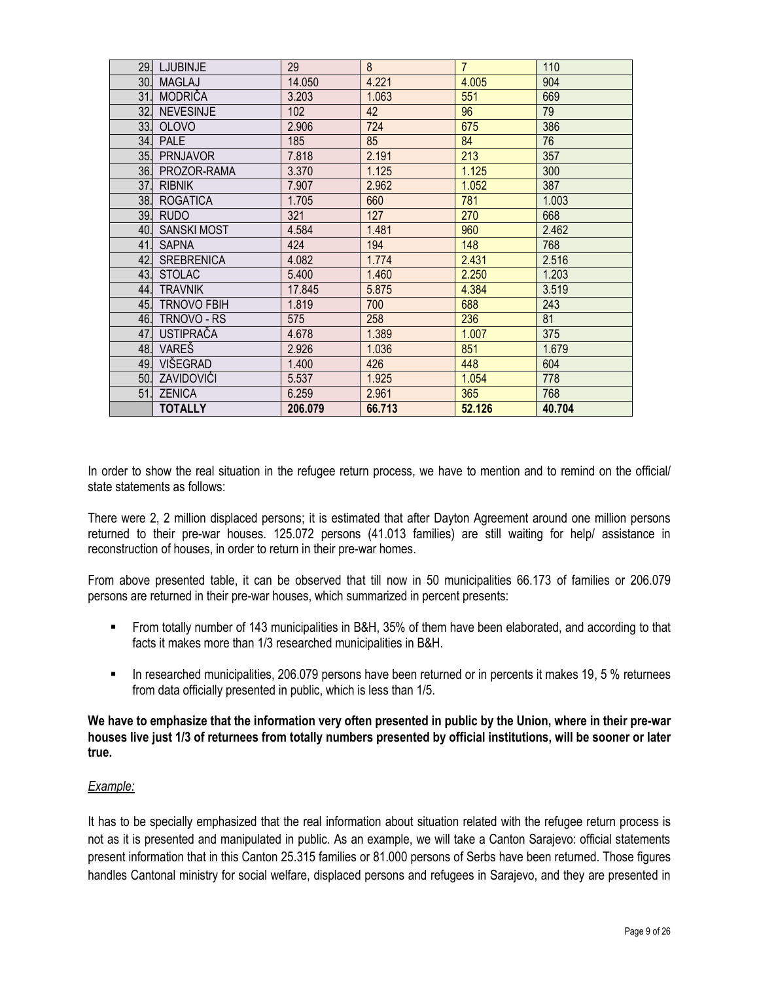| 29. | <b>LJUBINJE</b>    | 29      | 8      | $\overline{7}$ | 110    |
|-----|--------------------|---------|--------|----------------|--------|
| 30. | <b>MAGLAJ</b>      | 14.050  | 4.221  | 4.005          | 904    |
| 31  | <b>MODRIČA</b>     | 3.203   | 1.063  | 551            | 669    |
| 32. | <b>NEVESINJE</b>   | 102     | 42     | 96             | 79     |
| 33. | <b>OLOVO</b>       | 2.906   | 724    | 675            | 386    |
| 34. | <b>PALE</b>        | 185     | 85     | 84             | 76     |
| 35. | <b>PRNJAVOR</b>    | 7.818   | 2.191  | 213            | 357    |
| 36. | PROZOR-RAMA        | 3.370   | 1.125  | 1.125          | 300    |
| 37. | <b>RIBNIK</b>      | 7.907   | 2.962  | 1.052          | 387    |
| 38. | <b>ROGATICA</b>    | 1.705   | 660    | 781            | 1.003  |
| 39. | <b>RUDO</b>        | 321     | 127    | 270            | 668    |
| 40. | <b>SANSKI MOST</b> | 4.584   | 1.481  | 960            | 2.462  |
| 41. | <b>SAPNA</b>       | 424     | 194    | 148            | 768    |
| 42. | <b>SREBRENICA</b>  | 4.082   | 1.774  | 2.431          | 2.516  |
| 43. | <b>STOLAC</b>      | 5.400   | 1.460  | 2.250          | 1.203  |
| 44. | <b>TRAVNIK</b>     | 17.845  | 5.875  | 4.384          | 3.519  |
| 45. | <b>TRNOVO FBIH</b> | 1.819   | 700    | 688            | 243    |
| 46. | TRNOVO - RS        | 575     | 258    | 236            | 81     |
| 47. | <b>USTIPRAČA</b>   | 4.678   | 1.389  | 1.007          | 375    |
| 48. | VARES              | 2.926   | 1.036  | 851            | 1.679  |
| 49. | VIŠEGRAD           | 1.400   | 426    | 448            | 604    |
| 50. | ZAVIDOVIĆI         | 5.537   | 1.925  | 1.054          | 778    |
| 51. | <b>ZENICA</b>      | 6.259   | 2.961  | 365            | 768    |
|     | <b>TOTALLY</b>     | 206.079 | 66.713 | 52.126         | 40.704 |

In order to show the real situation in the refugee return process, we have to mention and to remind on the official/ state statements as follows:

There were 2, 2 million displaced persons; it is estimated that after Dayton Agreement around one million persons returned to their pre-war houses. 125.072 persons (41.013 families) are still waiting for help/ assistance in reconstruction of houses, in order to return in their pre-war homes.

From above presented table, it can be observed that till now in 50 municipalities 66.173 of families or 206.079 persons are returned in their pre-war houses, which summarized in percent presents:

- From totally number of 143 municipalities in B&H, 35% of them have been elaborated, and according to that facts it makes more than 1/3 researched municipalities in B&H.
- In researched municipalities, 206.079 persons have been returned or in percents it makes 19, 5 % returnees from data officially presented in public, which is less than 1/5.

### **We have to emphasize that the information very often presented in public by the Union, where in their pre-war houses live just 1/3 of returnees from totally numbers presented by official institutions, will be sooner or later true.**

### *Example:*

It has to be specially emphasized that the real information about situation related with the refugee return process is not as it is presented and manipulated in public. As an example, we will take a Canton Sarajevo: official statements present information that in this Canton 25.315 families or 81.000 persons of Serbs have been returned. Those figures handles Cantonal ministry for social welfare, displaced persons and refugees in Sarajevo, and they are presented in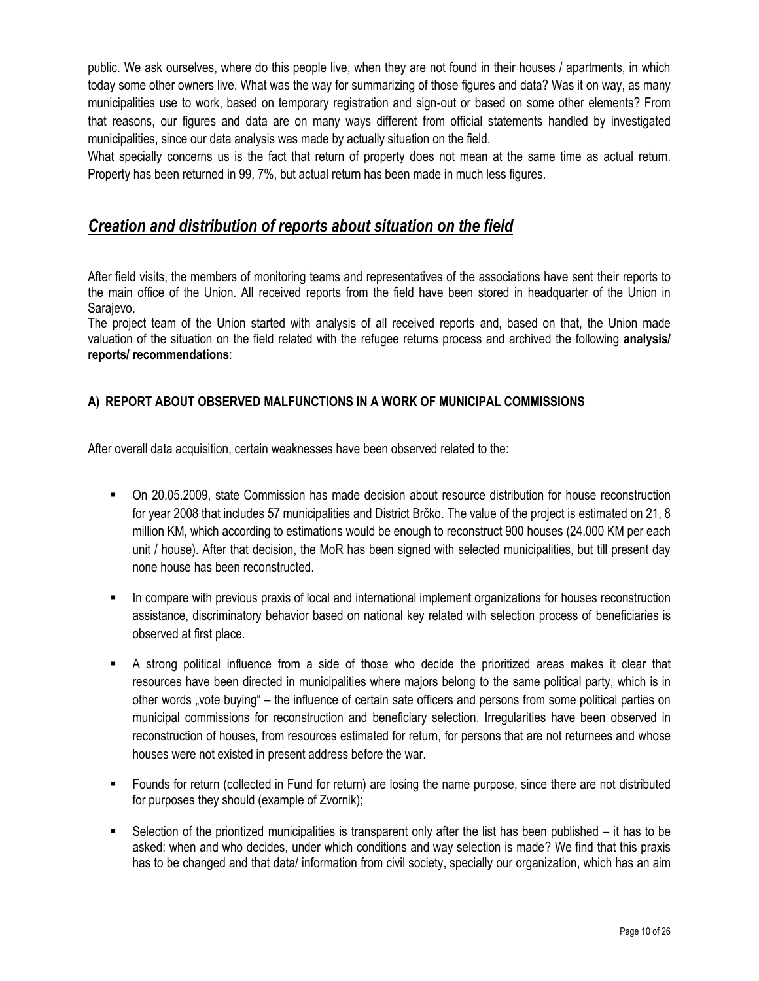public. We ask ourselves, where do this people live, when they are not found in their houses / apartments, in which today some other owners live. What was the way for summarizing of those figures and data? Was it on way, as many municipalities use to work, based on temporary registration and sign-out or based on some other elements? From that reasons, our figures and data are on many ways different from official statements handled by investigated municipalities, since our data analysis was made by actually situation on the field.

What specially concerns us is the fact that return of property does not mean at the same time as actual return. Property has been returned in 99, 7%, but actual return has been made in much less figures.

### *Creation and distribution of reports about situation on the field*

After field visits, the members of monitoring teams and representatives of the associations have sent their reports to the main office of the Union. All received reports from the field have been stored in headquarter of the Union in Sarajevo.

The project team of the Union started with analysis of all received reports and, based on that, the Union made valuation of the situation on the field related with the refugee returns process and archived the following **analysis/ reports/ recommendations**:

### **A) REPORT ABOUT OBSERVED MALFUNCTIONS IN A WORK OF MUNICIPAL COMMISSIONS**

After overall data acquisition, certain weaknesses have been observed related to the:

- On 20.05.2009, state Commission has made decision about resource distribution for house reconstruction for year 2008 that includes 57 municipalities and District Brĉko. The value of the project is estimated on 21, 8 million KM, which according to estimations would be enough to reconstruct 900 houses (24.000 KM per each unit / house). After that decision, the MoR has been signed with selected municipalities, but till present day none house has been reconstructed.
- In compare with previous praxis of local and international implement organizations for houses reconstruction assistance, discriminatory behavior based on national key related with selection process of beneficiaries is observed at first place.
- A strong political influence from a side of those who decide the prioritized areas makes it clear that resources have been directed in municipalities where majors belong to the same political party, which is in other words "vote buying" – the influence of certain sate officers and persons from some political parties on municipal commissions for reconstruction and beneficiary selection. Irregularities have been observed in reconstruction of houses, from resources estimated for return, for persons that are not returnees and whose houses were not existed in present address before the war.
- Founds for return (collected in Fund for return) are losing the name purpose, since there are not distributed for purposes they should (example of Zvornik);
- Selection of the prioritized municipalities is transparent only after the list has been published it has to be asked: when and who decides, under which conditions and way selection is made? We find that this praxis has to be changed and that data/ information from civil society, specially our organization, which has an aim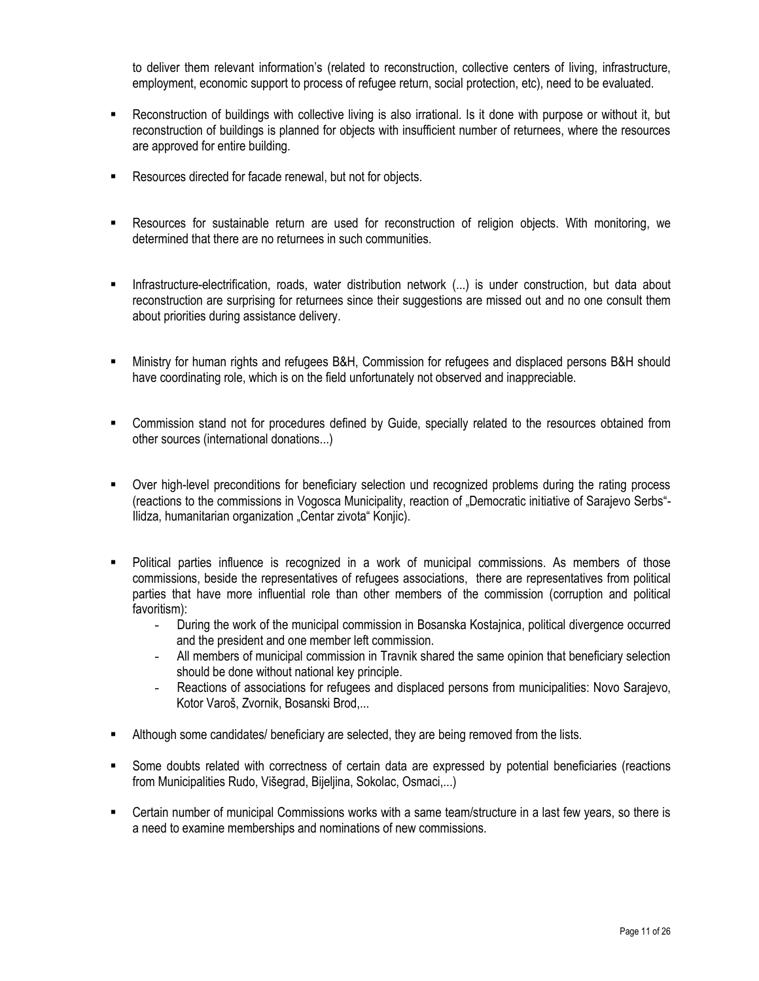to deliver them relevant information's (related to reconstruction, collective centers of living, infrastructure, employment, economic support to process of refugee return, social protection, etc), need to be evaluated.

- Reconstruction of buildings with collective living is also irrational. Is it done with purpose or without it, but reconstruction of buildings is planned for objects with insufficient number of returnees, where the resources are approved for entire building.
- Resources directed for facade renewal, but not for objects.
- Resources for sustainable return are used for reconstruction of religion objects. With monitoring, we determined that there are no returnees in such communities.
- Infrastructure-electrification, roads, water distribution network (...) is under construction, but data about reconstruction are surprising for returnees since their suggestions are missed out and no one consult them about priorities during assistance delivery.
- Ministry for human rights and refugees B&H, Commission for refugees and displaced persons B&H should have coordinating role, which is on the field unfortunately not observed and inappreciable.
- Commission stand not for procedures defined by Guide, specially related to the resources obtained from other sources (international donations...)
- Over high-level preconditions for beneficiary selection und recognized problems during the rating process (reactions to the commissions in Vogosca Municipality, reaction of "Democratic initiative of Sarajevo Serbs"- Ilidza, humanitarian organization "Centar zivota" Konjic).
- Political parties influence is recognized in a work of municipal commissions. As members of those commissions, beside the representatives of refugees associations, there are representatives from political parties that have more influential role than other members of the commission (corruption and political favoritism):
	- During the work of the municipal commission in Bosanska Kostajnica, political divergence occurred and the president and one member left commission.
	- All members of municipal commission in Travnik shared the same opinion that beneficiary selection should be done without national key principle.
	- Reactions of associations for refugees and displaced persons from municipalities: Novo Sarajevo, Kotor Varoš, Zvornik, Bosanski Brod,...
- Although some candidates/ beneficiary are selected, they are being removed from the lists.
- Some doubts related with correctness of certain data are expressed by potential beneficiaries (reactions from Municipalities Rudo, Višegrad, Bijeljina, Sokolac, Osmaci,...)
- Certain number of municipal Commissions works with a same team/structure in a last few years, so there is a need to examine memberships and nominations of new commissions.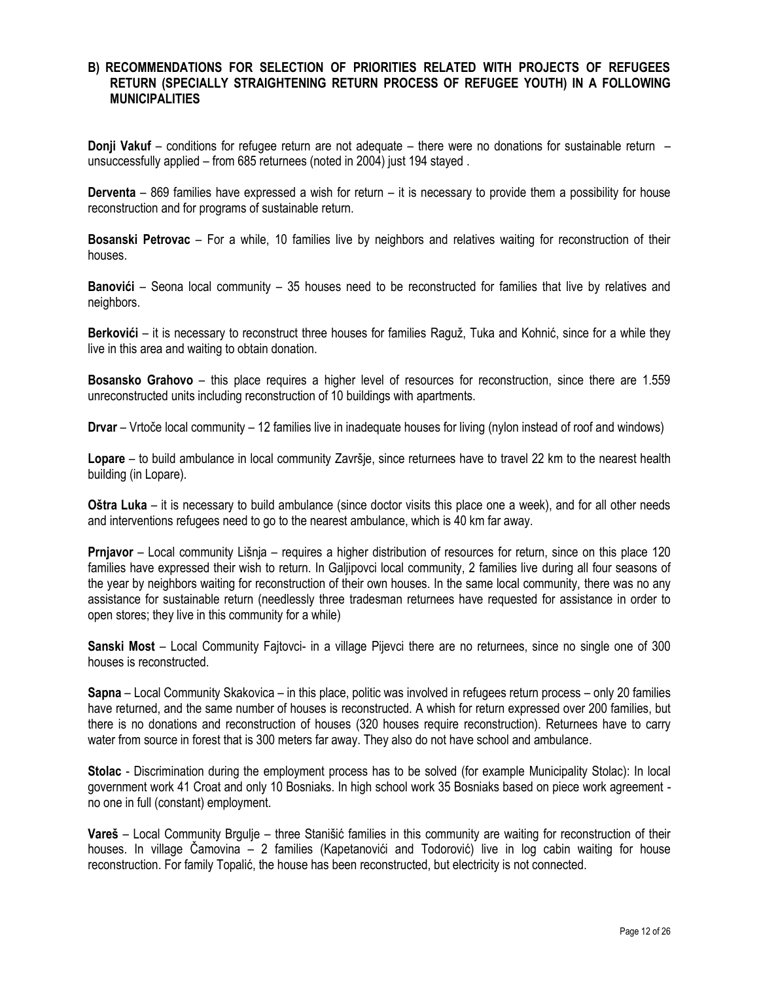#### **B) RECOMMENDATIONS FOR SELECTION OF PRIORITIES RELATED WITH PROJECTS OF REFUGEES RETURN (SPECIALLY STRAIGHTENING RETURN PROCESS OF REFUGEE YOUTH) IN A FOLLOWING MUNICIPALITIES**

**Donji Vakuf** – conditions for refugee return are not adequate – there were no donations for sustainable return – unsuccessfully applied – from 685 returnees (noted in 2004) just 194 stayed .

**Derventa** – 869 families have expressed a wish for return – it is necessary to provide them a possibility for house reconstruction and for programs of sustainable return.

**Bosanski Petrovac** – For a while, 10 families live by neighbors and relatives waiting for reconstruction of their houses.

**Banovići** – Seona local community – 35 houses need to be reconstructed for families that live by relatives and neighbors.

**Berkovići** – it is necessary to reconstruct three houses for families Raguž, Tuka and Kohnić, since for a while they live in this area and waiting to obtain donation.

**Bosansko Grahovo** – this place requires a higher level of resources for reconstruction, since there are 1.559 unreconstructed units including reconstruction of 10 buildings with apartments.

**Drvar** – Vrtoĉe local community – 12 families live in inadequate houses for living (nylon instead of roof and windows)

**Lopare** – to build ambulance in local community Završje, since returnees have to travel 22 km to the nearest health building (in Lopare).

**Oštra Luka** – it is necessary to build ambulance (since doctor visits this place one a week), and for all other needs and interventions refugees need to go to the nearest ambulance, which is 40 km far away.

**Prnjavor** – Local community Lišnja – requires a higher distribution of resources for return, since on this place 120 families have expressed their wish to return. In Galjipovci local community, 2 families live during all four seasons of the year by neighbors waiting for reconstruction of their own houses. In the same local community, there was no any assistance for sustainable return (needlessly three tradesman returnees have requested for assistance in order to open stores; they live in this community for a while)

**Sanski Most** – Local Community Fajtovci- in a village Pijevci there are no returnees, since no single one of 300 houses is reconstructed.

**Sapna** – Local Community Skakovica – in this place, politic was involved in refugees return process – only 20 families have returned, and the same number of houses is reconstructed. A whish for return expressed over 200 families, but there is no donations and reconstruction of houses (320 houses require reconstruction). Returnees have to carry water from source in forest that is 300 meters far away. They also do not have school and ambulance.

**Stolac** - Discrimination during the employment process has to be solved (for example Municipality Stolac): In local government work 41 Croat and only 10 Bosniaks. In high school work 35 Bosniaks based on piece work agreement no one in full (constant) employment.

**Vareš** – Local Community Brgulje – three Stanišić families in this community are waiting for reconstruction of their houses. In village Ĉamovina – 2 families (Kapetanovići and Todorović) live in log cabin waiting for house reconstruction. For family Topalić, the house has been reconstructed, but electricity is not connected.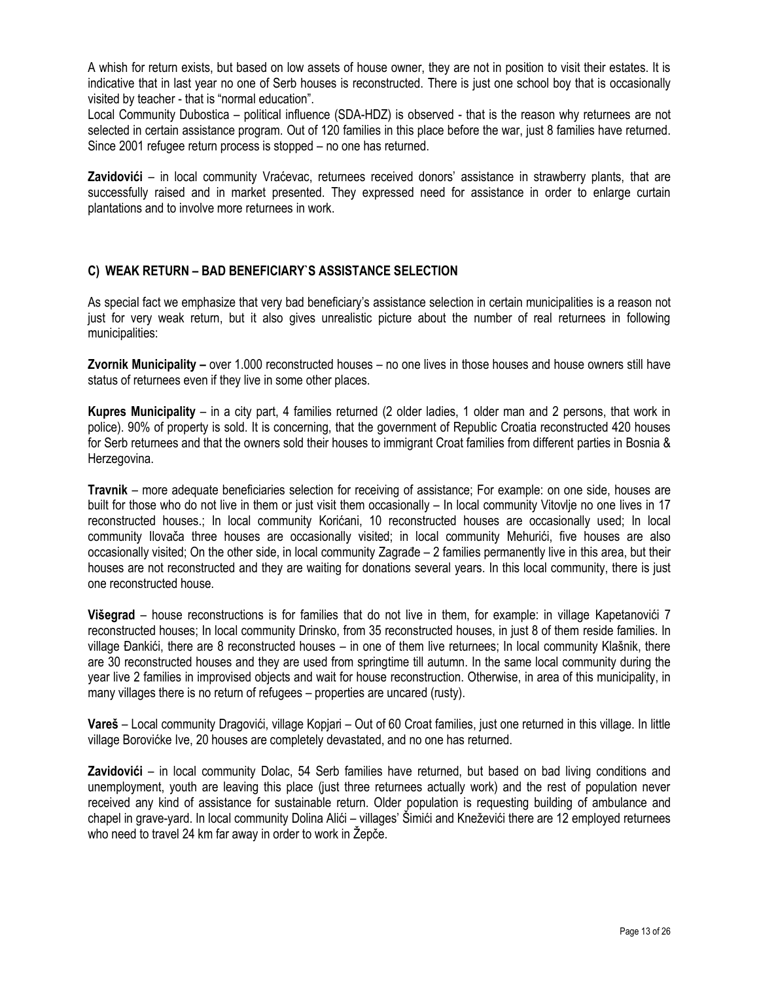A whish for return exists, but based on low assets of house owner, they are not in position to visit their estates. It is indicative that in last year no one of Serb houses is reconstructed. There is just one school boy that is occasionally visited by teacher - that is "normal education".

Local Community Dubostica – political influence (SDA-HDZ) is observed - that is the reason why returnees are not selected in certain assistance program. Out of 120 families in this place before the war, just 8 families have returned. Since 2001 refugee return process is stopped – no one has returned.

**Zavidovići** – in local community Vraćevac, returnees received donors' assistance in strawberry plants, that are successfully raised and in market presented. They expressed need for assistance in order to enlarge curtain plantations and to involve more returnees in work.

### **C) WEAK RETURN – BAD BENEFICIARY`S ASSISTANCE SELECTION**

As special fact we emphasize that very bad beneficiary's assistance selection in certain municipalities is a reason not just for very weak return, but it also gives unrealistic picture about the number of real returnees in following municipalities:

**Zvornik Municipality –** over 1.000 reconstructed houses – no one lives in those houses and house owners still have status of returnees even if they live in some other places.

**Kupres Municipality** – in a city part, 4 families returned (2 older ladies, 1 older man and 2 persons, that work in police). 90% of property is sold. It is concerning, that the government of Republic Croatia reconstructed 420 houses for Serb returnees and that the owners sold their houses to immigrant Croat families from different parties in Bosnia & Herzegovina.

**Travnik** – more adequate beneficiaries selection for receiving of assistance; For example: on one side, houses are built for those who do not live in them or just visit them occasionally – In local community Vitovlje no one lives in 17 reconstructed houses.; In local community Korićani, 10 reconstructed houses are occasionally used; In local community Ilovaĉa three houses are occasionally visited; in local community Mehurići, five houses are also occasionally visited; On the other side, in local community Zagrade – 2 families permanently live in this area, but their houses are not reconstructed and they are waiting for donations several years. In this local community, there is just one reconstructed house.

**Višegrad** – house reconstructions is for families that do not live in them, for example: in village Kapetanovići 7 reconstructed houses; In local community Drinsko, from 35 reconstructed houses, in just 8 of them reside families. In village Đankići, there are 8 reconstructed houses – in one of them live returnees; In local community Klašnik, there are 30 reconstructed houses and they are used from springtime till autumn. In the same local community during the year live 2 families in improvised objects and wait for house reconstruction. Otherwise, in area of this municipality, in many villages there is no return of refugees – properties are uncared (rusty).

**Vareš** – Local community Dragovići, village Kopjari – Out of 60 Croat families, just one returned in this village. In little village Borovićke Ive, 20 houses are completely devastated, and no one has returned.

**Zavidovići** – in local community Dolac, 54 Serb families have returned, but based on bad living conditions and unemployment, youth are leaving this place (just three returnees actually work) and the rest of population never received any kind of assistance for sustainable return. Older population is requesting building of ambulance and chapel in grave-yard. In local community Dolina Alići – villages' Šimići and Kneževići there are 12 employed returnees who need to travel 24 km far away in order to work in Žepče.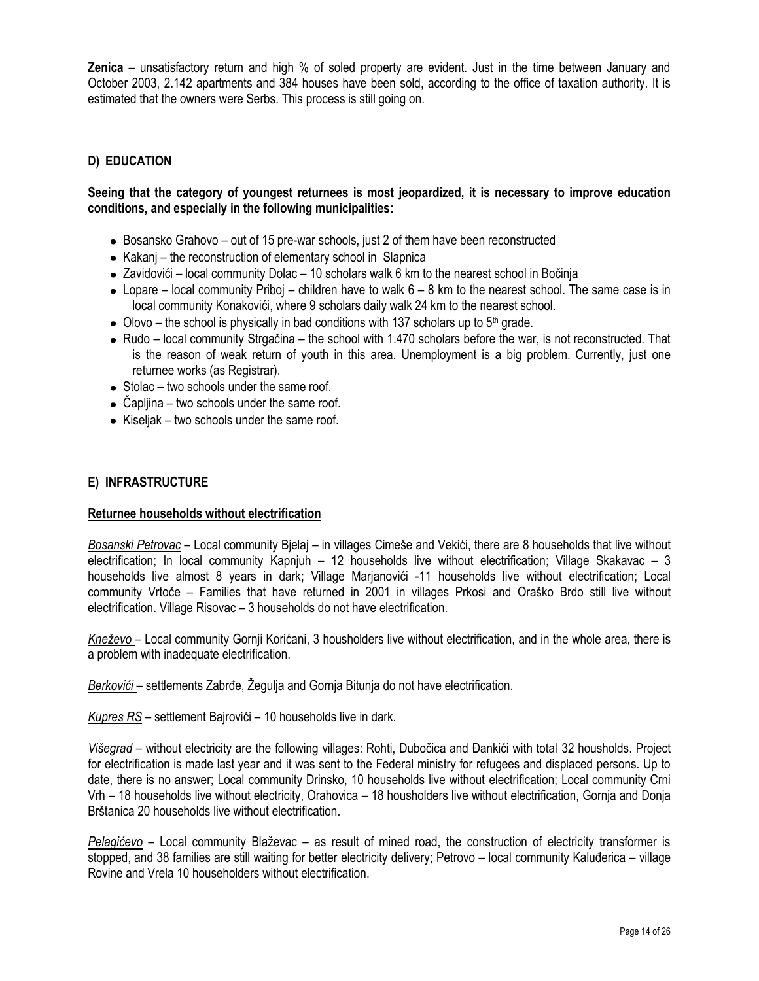**Zenica** – unsatisfactory return and high % of soled property are evident. Just in the time between January and October 2003, 2.142 apartments and 384 houses have been sold, according to the office of taxation authority. It is estimated that the owners were Serbs. This process is still going on.

### **D) EDUCATION**

#### **Seeing that the category of youngest returnees is most jeopardized, it is necessary to improve education conditions, and especially in the following municipalities:**

- Bosansko Grahovo out of 15 pre-war schools, just 2 of them have been reconstructed
- Kakanj the reconstruction of elementary school in Slapnica
- Zavidovići local community Dolac 10 scholars walk 6 km to the nearest school in Boĉinja
- $\bullet$  Lopare local community Priboj children have to walk  $6 8$  km to the nearest school. The same case is in local community Konakovići, where 9 scholars daily walk 24 km to the nearest school.
- $\bullet$  Olovo the school is physically in bad conditions with 137 scholars up to 5<sup>th</sup> grade.
- Rudo local community Strgačina the school with 1.470 scholars before the war, is not reconstructed. That is the reason of weak return of youth in this area. Unemployment is a big problem. Currently, just one returnee works (as Registrar).
- $\bullet$  Stolac two schools under the same roof.
- Čapljina two schools under the same roof.
- $\bullet$  Kiseljak two schools under the same roof.

#### **E) INFRASTRUCTURE**

#### **Returnee households without electrification**

*Bosanski Petrovac* – Local community Bjelaj – in villages Cimeše and Vekići, there are 8 households that live without electrification; In local community Kapnjuh – 12 households live without electrification; Village Skakavac – 3 households live almost 8 years in dark; Village Marjanovići -11 households live without electrification; Local community Vrtoĉe – Families that have returned in 2001 in villages Prkosi and Oraško Brdo still live without electrification. Village Risovac – 3 households do not have electrification.

*Kneževo* – Local community Gornji Korićani, 3 housholders live without electrification, and in the whole area, there is a problem with inadequate electrification.

Berkovići – settlements Zabrđe, Žegulja and Gornja Bitunja do not have electrification.

*Kupres RS* – settlement Bajrovići – 10 households live in dark.

*Višegrad* – without electricity are the following villages: Rohti, Duboĉica and Đankići with total 32 housholds. Project for electrification is made last year and it was sent to the Federal ministry for refugees and displaced persons. Up to date, there is no answer; Local community Drinsko, 10 households live without electrification; Local community Crni Vrh – 18 households live without electricity, Orahovica – 18 housholders live without electrification, Gornja and Donja Brštanica 20 households live without electrification.

*Pelagićevo* – Local community Blaževac – as result of mined road, the construction of electricity transformer is stopped, and 38 families are still waiting for better electricity delivery; Petrovo – local community Kaluđerica – village Rovine and Vrela 10 householders without electrification.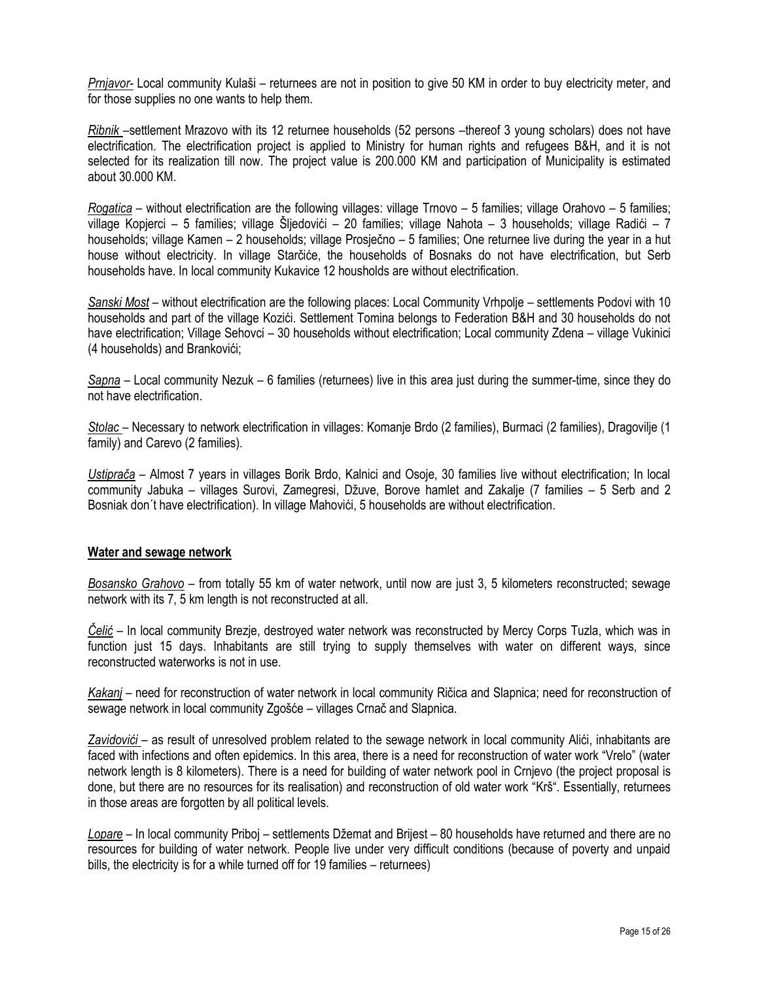*Prnjavor-* Local community Kulaši – returnees are not in position to give 50 KM in order to buy electricity meter, and for those supplies no one wants to help them.

*Ribnik* –settlement Mrazovo with its 12 returnee households (52 persons –thereof 3 young scholars) does not have electrification. The electrification project is applied to Ministry for human rights and refugees B&H, and it is not selected for its realization till now. The project value is 200.000 KM and participation of Municipality is estimated about 30.000 KM.

*Rogatica* – without electrification are the following villages: village Trnovo – 5 families; village Orahovo – 5 families; village Kopjerci – 5 families; village Šljedovići – 20 families; village Nahota – 3 households; village Radići – 7 households; village Kamen – 2 households; village Prosjeĉno – 5 families; One returnee live during the year in a hut house without electricity. In village Starĉiće, the households of Bosnaks do not have electrification, but Serb households have. In local community Kukavice 12 housholds are without electrification.

*Sanski Most* – without electrification are the following places: Local Community Vrhpolje – settlements Podovi with 10 households and part of the village Kozići. Settlement Tomina belongs to Federation B&H and 30 households do not have electrification; Village Sehovci – 30 households without electrification; Local community Zdena – village Vukinici (4 households) and Brankovići;

*Sapna* – Local community Nezuk – 6 families (returnees) live in this area just during the summer-time, since they do not have electrification.

*Stolac* – Necessary to network electrification in villages: Komanje Brdo (2 families), Burmaci (2 families), Dragovilje (1 family) and Carevo (2 families).

*Ustiprača* – Almost 7 years in villages Borik Brdo, Kalnici and Osoje, 30 families live without electrification; In local community Jabuka – villages Surovi, Zamegresi, Džuve, Borove hamlet and Zakalje (7 families – 5 Serb and 2 Bosniak don´t have electrification). In village Mahovići, 5 households are without electrification.

#### **Water and sewage network**

*Bosansko Grahovo* – from totally 55 km of water network, until now are just 3, 5 kilometers reconstructed; sewage network with its 7, 5 km length is not reconstructed at all.

*Čelić* – In local community Brezje, destroyed water network was reconstructed by Mercy Corps Tuzla, which was in function just 15 days. Inhabitants are still trying to supply themselves with water on different ways, since reconstructed waterworks is not in use.

*Kakanj* – need for reconstruction of water network in local community Riĉica and Slapnica; need for reconstruction of sewage network in local community Zgošće – villages Crnaĉ and Slapnica.

Zavidovići – as result of unresolved problem related to the sewage network in local community Alići, inhabitants are faced with infections and often epidemics. In this area, there is a need for reconstruction of water work "Vrelo" (water network length is 8 kilometers). There is a need for building of water network pool in Crnjevo (the project proposal is done, but there are no resources for its realisation) and reconstruction of old water work "Krš". Essentially, returnees in those areas are forgotten by all political levels.

*Lopare* – In local community Priboj – settlements Džemat and Brijest – 80 households have returned and there are no resources for building of water network. People live under very difficult conditions (because of poverty and unpaid bills, the electricity is for a while turned off for 19 families – returnees)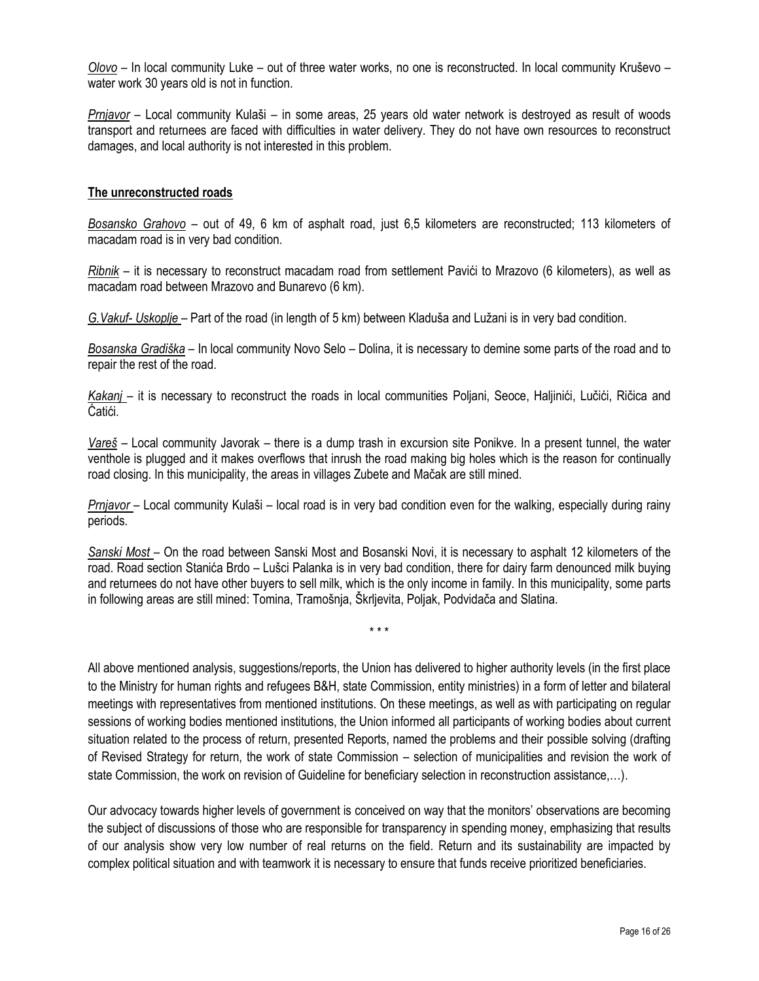*Olovo* – In local community Luke – out of three water works, no one is reconstructed. In local community Kruševo – water work 30 years old is not in function.

*Prnjavor* – Local community Kulaši – in some areas, 25 years old water network is destroyed as result of woods transport and returnees are faced with difficulties in water delivery. They do not have own resources to reconstruct damages, and local authority is not interested in this problem.

#### **The unreconstructed roads**

*Bosansko Grahovo* – out of 49, 6 km of asphalt road, just 6,5 kilometers are reconstructed; 113 kilometers of macadam road is in very bad condition.

*Ribnik* – it is necessary to reconstruct macadam road from settlement Pavići to Mrazovo (6 kilometers), as well as macadam road between Mrazovo and Bunarevo (6 km).

*G. Vakuf-* Uskoplje – Part of the road (in length of 5 km) between Kladuša and Lužani is in very bad condition.

*Bosanska Gradiška* – In local community Novo Selo – Dolina, it is necessary to demine some parts of the road and to repair the rest of the road.

*Kakanj* – it is necessary to reconstruct the roads in local communities Poljani, Seoce, Haljinići, Luĉići, Riĉica and Ćatići.

*Vareš* – Local community Javorak – there is a dump trash in excursion site Ponikve. In a present tunnel, the water venthole is plugged and it makes overflows that inrush the road making big holes which is the reason for continually road closing. In this municipality, the areas in villages Zubete and Maĉak are still mined.

*Prnjavor* – Local community Kulaši – local road is in very bad condition even for the walking, especially during rainy periods.

*Sanski Most* – On the road between Sanski Most and Bosanski Novi, it is necessary to asphalt 12 kilometers of the road. Road section Stanića Brdo – Lušci Palanka is in very bad condition, there for dairy farm denounced milk buying and returnees do not have other buyers to sell milk, which is the only income in family. In this municipality, some parts in following areas are still mined: Tomina, Tramošnja, Škrljevita, Poljak, Podvidaĉa and Slatina.

\* \* \*

All above mentioned analysis, suggestions/reports, the Union has delivered to higher authority levels (in the first place to the Ministry for human rights and refugees B&H, state Commission, entity ministries) in a form of letter and bilateral meetings with representatives from mentioned institutions. On these meetings, as well as with participating on regular sessions of working bodies mentioned institutions, the Union informed all participants of working bodies about current situation related to the process of return, presented Reports, named the problems and their possible solving (drafting of Revised Strategy for return, the work of state Commission – selection of municipalities and revision the work of state Commission, the work on revision of Guideline for beneficiary selection in reconstruction assistance,…).

Our advocacy towards higher levels of government is conceived on way that the monitors' observations are becoming the subject of discussions of those who are responsible for transparency in spending money, emphasizing that results of our analysis show very low number of real returns on the field. Return and its sustainability are impacted by complex political situation and with teamwork it is necessary to ensure that funds receive prioritized beneficiaries.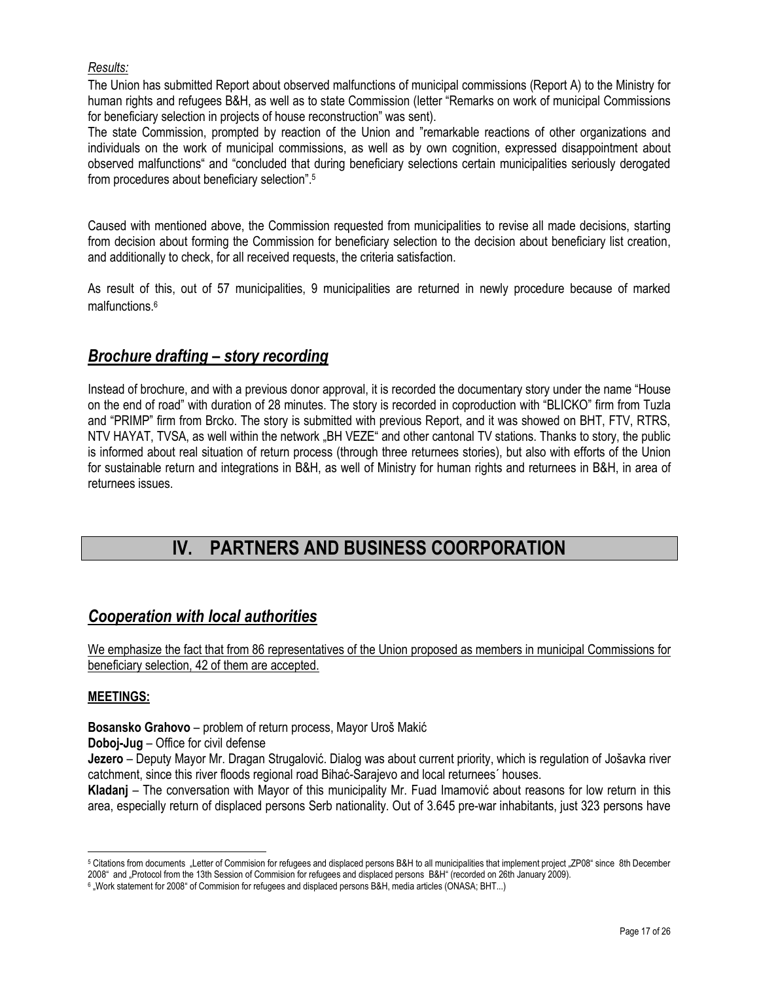### *Results:*

The Union has submitted Report about observed malfunctions of municipal commissions (Report A) to the Ministry for human rights and refugees B&H, as well as to state Commission (letter "Remarks on work of municipal Commissions for beneficiary selection in projects of house reconstruction" was sent).

The state Commission, prompted by reaction of the Union and "remarkable reactions of other organizations and individuals on the work of municipal commissions, as well as by own cognition, expressed disappointment about observed malfunctions" and "concluded that during beneficiary selections certain municipalities seriously derogated from procedures about beneficiary selection".<sup>5</sup>

Caused with mentioned above, the Commission requested from municipalities to revise all made decisions, starting from decision about forming the Commission for beneficiary selection to the decision about beneficiary list creation, and additionally to check, for all received requests, the criteria satisfaction.

As result of this, out of 57 municipalities, 9 municipalities are returned in newly procedure because of marked malfunctions. 6

### *Brochure drafting – story recording*

Instead of brochure, and with a previous donor approval, it is recorded the documentary story under the name "House on the end of road" with duration of 28 minutes. The story is recorded in coproduction with "BLICKO" firm from Tuzla and "PRIMP" firm from Brcko. The story is submitted with previous Report, and it was showed on BHT, FTV, RTRS, NTV HAYAT, TVSA, as well within the network "BH VEZE" and other cantonal TV stations. Thanks to story, the public is informed about real situation of return process (through three returnees stories), but also with efforts of the Union for sustainable return and integrations in B&H, as well of Ministry for human rights and returnees in B&H, in area of returnees issues.

## **IV. PARTNERS AND BUSINESS COORPORATION**

### *Cooperation with local authorities*

We emphasize the fact that from 86 representatives of the Union proposed as members in municipal Commissions for beneficiary selection, 42 of them are accepted.

#### **MEETINGS:**

**Bosansko Grahovo** – problem of return process, Mayor Uroš Makić

**Doboj-Jug** – Office for civil defense

**Jezero** – Deputy Mayor Mr. Dragan Strugalović. Dialog was about current priority, which is regulation of Jošavka river catchment, since this river floods regional road Bihać-Sarajevo and local returnees´ houses.

**Kladanj** – The conversation with Mayor of this municipality Mr. Fuad Imamović about reasons for low return in this area, especially return of displaced persons Serb nationality. Out of 3.645 pre-war inhabitants, just 323 persons have

 <sup>5</sup> Citations from documents "Letter of Commision for refugees and displaced persons B&H to all municipalities that implement project "ZP08" since 8th December 2008" and "Protocol from the 13th Session of Commision for refugees and displaced persons B&H" (recorded on 26th January 2009).

<sup>6</sup> "Work statement for 2008" of Commision for refugees and displaced persons B&H, media articles (ONASA; BHT...)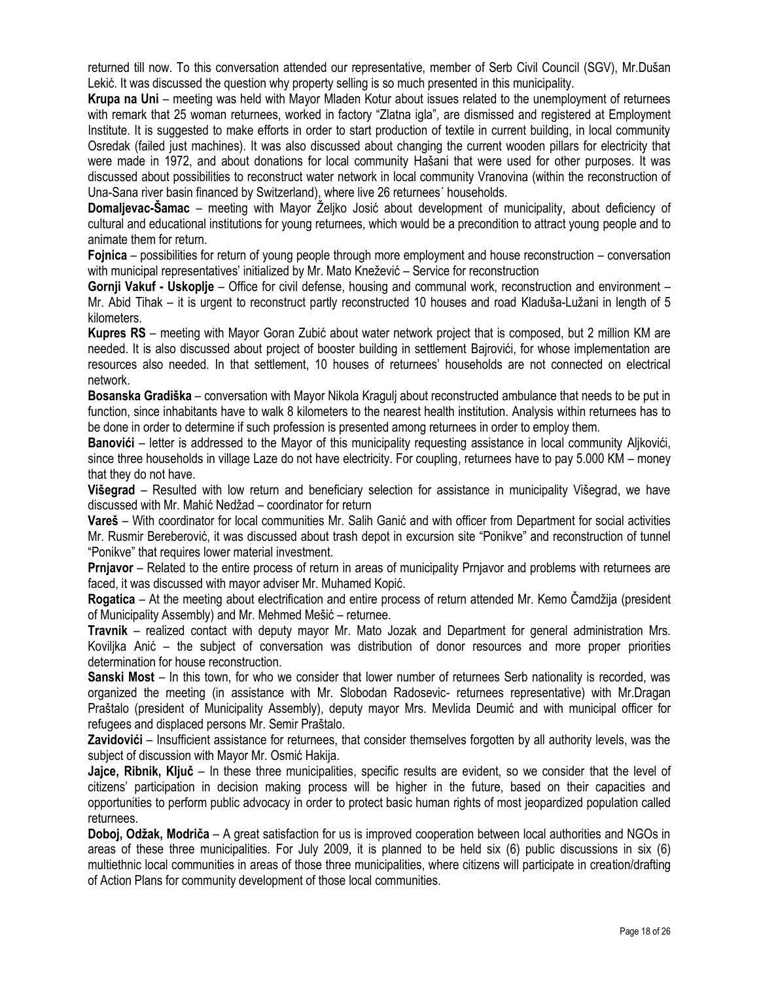returned till now. To this conversation attended our representative, member of Serb Civil Council (SGV), Mr.Dušan Lekić. It was discussed the question why property selling is so much presented in this municipality.

**Krupa na Uni** – meeting was held with Mayor Mladen Kotur about issues related to the unemployment of returnees with remark that 25 woman returnees, worked in factory "Zlatna igla", are dismissed and registered at Employment Institute. It is suggested to make efforts in order to start production of textile in current building, in local community Osredak (failed just machines). It was also discussed about changing the current wooden pillars for electricity that were made in 1972, and about donations for local community Hašani that were used for other purposes. It was discussed about possibilities to reconstruct water network in local community Vranovina (within the reconstruction of Una-Sana river basin financed by Switzerland), where live 26 returnees´ households.

**Domaljevac-Šamac** – meeting with Mayor Željko Josić about development of municipality, about deficiency of cultural and educational institutions for young returnees, which would be a precondition to attract young people and to animate them for return.

**Fojnica** – possibilities for return of young people through more employment and house reconstruction – conversation with municipal representatives' initialized by Mr. Mato Knežević – Service for reconstruction

**Gornji Vakuf - Uskoplje** – Office for civil defense, housing and communal work, reconstruction and environment – Mr. Abid Tihak – it is urgent to reconstruct partly reconstructed 10 houses and road Kladuša-Lužani in length of 5 kilometers.

**Kupres RS** – meeting with Mayor Goran Zubić about water network project that is composed, but 2 million KM are needed. It is also discussed about project of booster building in settlement Bajrovići, for whose implementation are resources also needed. In that settlement, 10 houses of returnees' households are not connected on electrical network.

**Bosanska Gradiška** – conversation with Mayor Nikola Kragulj about reconstructed ambulance that needs to be put in function, since inhabitants have to walk 8 kilometers to the nearest health institution. Analysis within returnees has to be done in order to determine if such profession is presented among returnees in order to employ them.

**Banovići** – letter is addressed to the Mayor of this municipality requesting assistance in local community Aljkovići, since three households in village Laze do not have electricity. For coupling, returnees have to pay 5.000 KM – money that they do not have.

**Višegrad** – Resulted with low return and beneficiary selection for assistance in municipality Višegrad, we have discussed with Mr. Mahić Nedžad – coordinator for return

**Vareš** – With coordinator for local communities Mr. Salih Ganić and with officer from Department for social activities Mr. Rusmir Bereberović, it was discussed about trash depot in excursion site "Ponikve" and reconstruction of tunnel "Ponikve" that requires lower material investment.

**Prnjavor** – Related to the entire process of return in areas of municipality Prnjavor and problems with returnees are faced, it was discussed with mayor adviser Mr. Muhamed Kopić.

**Rogatica** – At the meeting about electrification and entire process of return attended Mr. Kemo Čamdžija (president of Municipality Assembly) and Mr. Mehmed Mešić – returnee.

**Travnik** – realized contact with deputy mayor Mr. Mato Jozak and Department for general administration Mrs. Koviljka Anić – the subject of conversation was distribution of donor resources and more proper priorities determination for house reconstruction.

**Sanski Most** – In this town, for who we consider that lower number of returnees Serb nationality is recorded, was organized the meeting (in assistance with Mr. Slobodan Radosevic- returnees representative) with Mr.Dragan Praštalo (president of Municipality Assembly), deputy mayor Mrs. Mevlida Deumić and with municipal officer for refugees and displaced persons Mr. Semir Praštalo.

**Zavidovići** – Insufficient assistance for returnees, that consider themselves forgotten by all authority levels, was the subject of discussion with Mayor Mr. Osmić Hakija.

**Jajce, Ribnik, Ključ** – In these three municipalities, specific results are evident, so we consider that the level of citizens' participation in decision making process will be higher in the future, based on their capacities and opportunities to perform public advocacy in order to protect basic human rights of most jeopardized population called returnees.

**Doboj, Odžak, Modriča** – A great satisfaction for us is improved cooperation between local authorities and NGOs in areas of these three municipalities. For July 2009, it is planned to be held six (6) public discussions in six (6) multiethnic local communities in areas of those three municipalities, where citizens will participate in creation/drafting of Action Plans for community development of those local communities.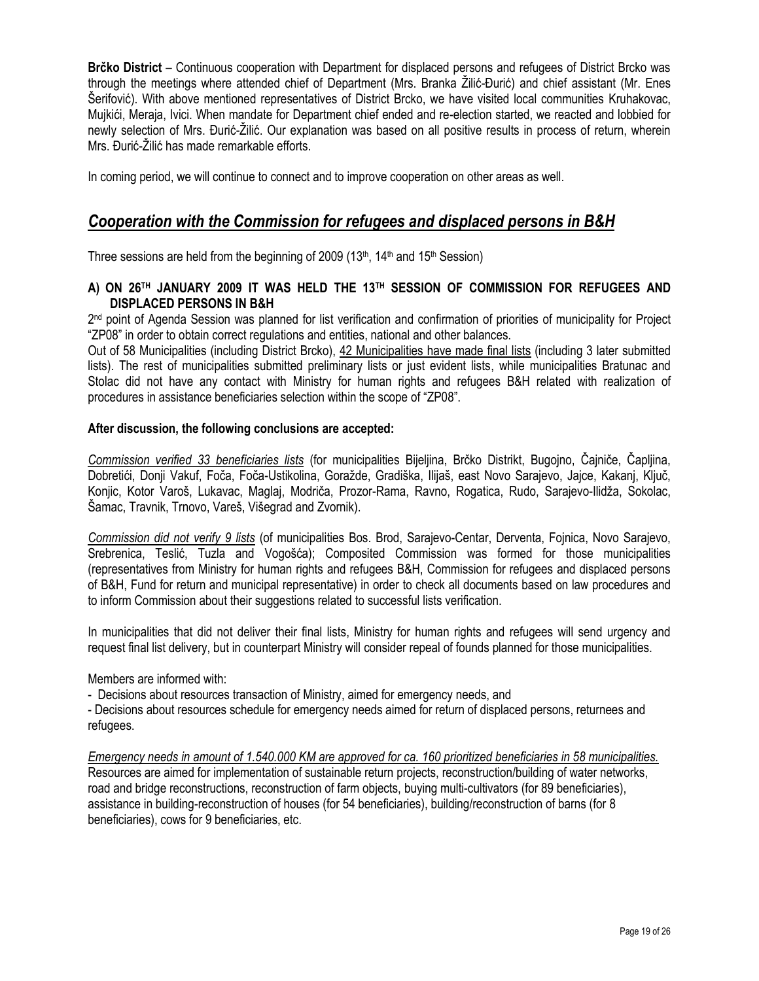**Brčko District** – Continuous cooperation with Department for displaced persons and refugees of District Brcko was through the meetings where attended chief of Department (Mrs. Branka Ţilić-Đurić) and chief assistant (Mr. Enes Šerifović). With above mentioned representatives of District Brcko, we have visited local communities Kruhakovac, Mujkići, Meraja, Ivici. When mandate for Department chief ended and re-election started, we reacted and lobbied for newly selection of Mrs. Đurić-Žilić. Our explanation was based on all positive results in process of return, wherein Mrs. Đurić-Žilić has made remarkable efforts.

In coming period, we will continue to connect and to improve cooperation on other areas as well.

### *Cooperation with the Commission for refugees and displaced persons in B&H*

Three sessions are held from the beginning of 2009 (13<sup>th</sup>, 14<sup>th</sup> and 15<sup>th</sup> Session)

#### **A) ON 26TH JANUARY 2009 IT WAS HELD THE 13TH SESSION OF COMMISSION FOR REFUGEES AND DISPLACED PERSONS IN B&H**

2<sup>nd</sup> point of Agenda Session was planned for list verification and confirmation of priorities of municipality for Project "ZP08" in order to obtain correct regulations and entities, national and other balances.

Out of 58 Municipalities (including District Brcko), 42 Municipalities have made final lists (including 3 later submitted lists). The rest of municipalities submitted preliminary lists or just evident lists, while municipalities Bratunac and Stolac did not have any contact with Ministry for human rights and refugees B&H related with realization of procedures in assistance beneficiaries selection within the scope of "ZP08".

### **After discussion, the following conclusions are accepted:**

*Commission verified 33 beneficiaries lists* (for municipalities Bijeljina, Brĉko Distrikt, Bugojno, Ĉajniĉe, Ĉapljina, Dobretići, Donji Vakuf, Foča, Foča-Ustikolina, Goražde, Gradiška, Ilijaš, east Novo Sarajevo, Jajce, Kakanj, Ključ, Konjic, Kotor Varoš, Lukavac, Maglaj, Modriča, Prozor-Rama, Ravno, Rogatica, Rudo, Sarajevo-Ilidža, Sokolac, Šamac, Travnik, Trnovo, Vareš, Višegrad and Zvornik).

*Commission did not verify 9 lists* (of municipalities Bos. Brod, Sarajevo-Centar, Derventa, Fojnica, Novo Sarajevo, Srebrenica, Teslić, Tuzla and Vogošća); Composited Commission was formed for those municipalities (representatives from Ministry for human rights and refugees B&H, Commission for refugees and displaced persons of B&H, Fund for return and municipal representative) in order to check all documents based on law procedures and to inform Commission about their suggestions related to successful lists verification.

In municipalities that did not deliver their final lists, Ministry for human rights and refugees will send urgency and request final list delivery, but in counterpart Ministry will consider repeal of founds planned for those municipalities.

Members are informed with:

- Decisions about resources transaction of Ministry, aimed for emergency needs, and

- Decisions about resources schedule for emergency needs aimed for return of displaced persons, returnees and refugees.

*Emergency needs in amount of 1.540.000 KM are approved for ca. 160 prioritized beneficiaries in 58 municipalities.*  Resources are aimed for implementation of sustainable return projects, reconstruction/building of water networks, road and bridge reconstructions, reconstruction of farm objects, buying multi-cultivators (for 89 beneficiaries), assistance in building-reconstruction of houses (for 54 beneficiaries), building/reconstruction of barns (for 8 beneficiaries), cows for 9 beneficiaries, etc.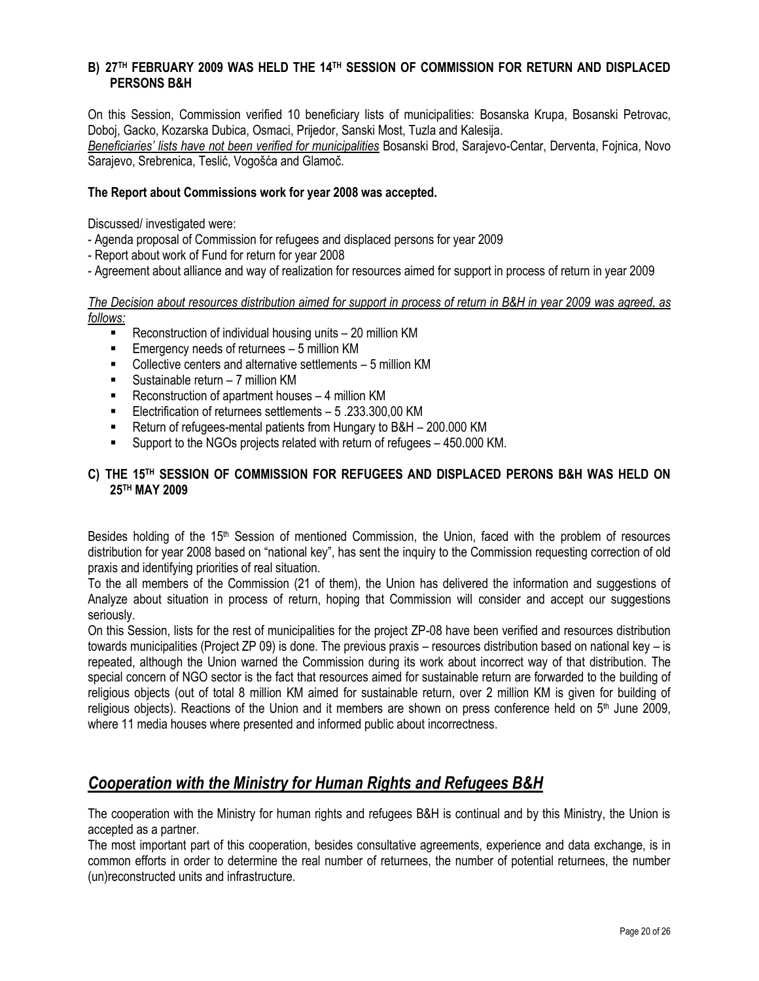### **B) 27TH FEBRUARY 2009 WAS HELD THE 14TH SESSION OF COMMISSION FOR RETURN AND DISPLACED PERSONS B&H**

On this Session, Commission verified 10 beneficiary lists of municipalities: Bosanska Krupa, Bosanski Petrovac, Doboj, Gacko, Kozarska Dubica, Osmaci, Prijedor, Sanski Most, Tuzla and Kalesija. *Beneficiaries' lists have not been verified for municipalities* Bosanski Brod, Sarajevo-Centar, Derventa, Fojnica, Novo Sarajevo, Srebrenica, Teslić, Vogošća and Glamoĉ.

#### **The Report about Commissions work for year 2008 was accepted.**

Discussed/ investigated were:

- Agenda proposal of Commission for refugees and displaced persons for year 2009
- Report about work of Fund for return for year 2008
- Agreement about alliance and way of realization for resources aimed for support in process of return in year 2009

*The Decision about resources distribution aimed for support in process of return in B&H in year 2009 was agreed, as follows:*

- Reconstruction of individual housing units 20 million KM
- Emergency needs of returnees 5 million KM
- Collective centers and alternative settlements 5 million KM
- Sustainable return 7 million KM
- Reconstruction of apartment houses 4 million KM
- Electrification of returnees settlements 5, 233, 300, 00 KM
- Return of refugees-mental patients from Hungary to B&H 200.000 KM
- Support to the NGOs projects related with return of refugees 450.000 KM.

### **C) THE 15TH SESSION OF COMMISSION FOR REFUGEES AND DISPLACED PERONS B&H WAS HELD ON 25TH MAY 2009**

Besides holding of the 15<sup>th</sup> Session of mentioned Commission, the Union, faced with the problem of resources distribution for year 2008 based on "national key", has sent the inquiry to the Commission requesting correction of old praxis and identifying priorities of real situation.

To the all members of the Commission (21 of them), the Union has delivered the information and suggestions of Analyze about situation in process of return, hoping that Commission will consider and accept our suggestions seriously.

On this Session, lists for the rest of municipalities for the project ZP-08 have been verified and resources distribution towards municipalities (Project ZP 09) is done. The previous praxis – resources distribution based on national key – is repeated, although the Union warned the Commission during its work about incorrect way of that distribution. The special concern of NGO sector is the fact that resources aimed for sustainable return are forwarded to the building of religious objects (out of total 8 million KM aimed for sustainable return, over 2 million KM is given for building of religious objects). Reactions of the Union and it members are shown on press conference held on  $5<sup>th</sup>$  June 2009, where 11 media houses where presented and informed public about incorrectness.

### *Cooperation with the Ministry for Human Rights and Refugees B&H*

The cooperation with the Ministry for human rights and refugees B&H is continual and by this Ministry, the Union is accepted as a partner.

The most important part of this cooperation, besides consultative agreements, experience and data exchange, is in common efforts in order to determine the real number of returnees, the number of potential returnees, the number (un)reconstructed units and infrastructure.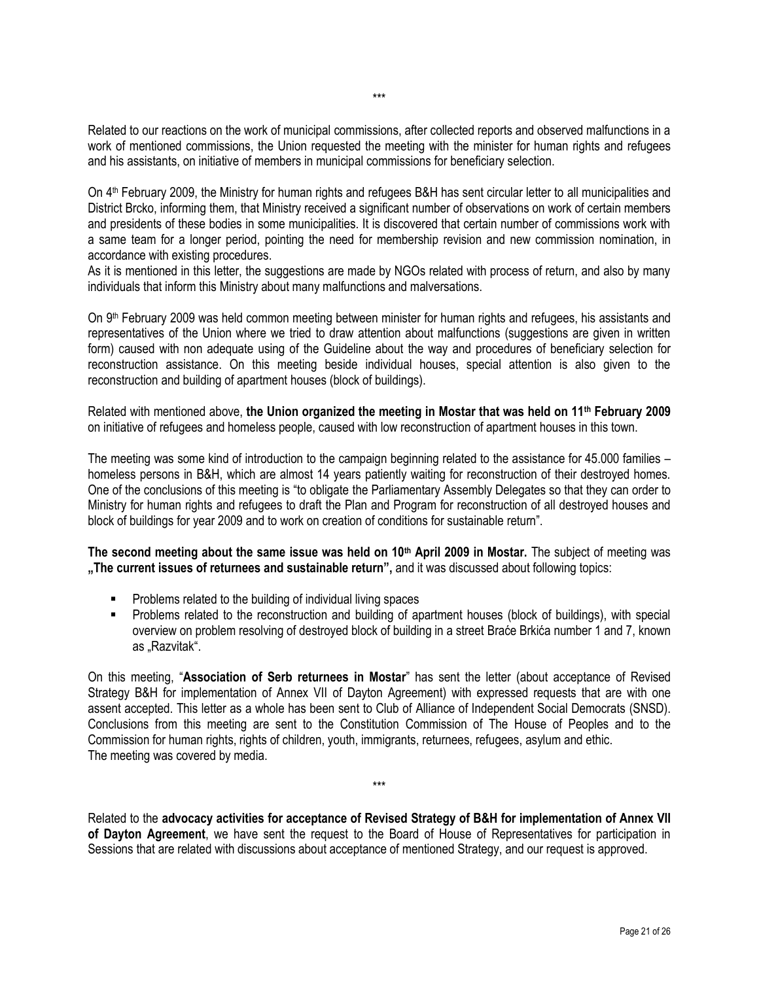Related to our reactions on the work of municipal commissions, after collected reports and observed malfunctions in a work of mentioned commissions, the Union requested the meeting with the minister for human rights and refugees and his assistants, on initiative of members in municipal commissions for beneficiary selection.

On 4th February 2009, the Ministry for human rights and refugees B&H has sent circular letter to all municipalities and District Brcko, informing them, that Ministry received a significant number of observations on work of certain members and presidents of these bodies in some municipalities. It is discovered that certain number of commissions work with a same team for a longer period, pointing the need for membership revision and new commission nomination, in accordance with existing procedures.

As it is mentioned in this letter, the suggestions are made by NGOs related with process of return, and also by many individuals that inform this Ministry about many malfunctions and malversations.

On 9th February 2009 was held common meeting between minister for human rights and refugees, his assistants and representatives of the Union where we tried to draw attention about malfunctions (suggestions are given in written form) caused with non adequate using of the Guideline about the way and procedures of beneficiary selection for reconstruction assistance. On this meeting beside individual houses, special attention is also given to the reconstruction and building of apartment houses (block of buildings).

Related with mentioned above, **the Union organized the meeting in Mostar that was held on 11th February 2009** on initiative of refugees and homeless people, caused with low reconstruction of apartment houses in this town.

The meeting was some kind of introduction to the campaign beginning related to the assistance for 45.000 families – homeless persons in B&H, which are almost 14 years patiently waiting for reconstruction of their destroyed homes. One of the conclusions of this meeting is "to obligate the Parliamentary Assembly Delegates so that they can order to Ministry for human rights and refugees to draft the Plan and Program for reconstruction of all destroyed houses and block of buildings for year 2009 and to work on creation of conditions for sustainable return".

**The second meeting about the same issue was held on 10th April 2009 in Mostar.** The subject of meeting was **"The current issues of returnees and sustainable return",** and it was discussed about following topics:

- Problems related to the building of individual living spaces
- Problems related to the reconstruction and building of apartment houses (block of buildings), with special overview on problem resolving of destroyed block of building in a street Braće Brkića number 1 and 7, known as "Razvitak".

On this meeting, "**Association of Serb returnees in Mostar**" has sent the letter (about acceptance of Revised Strategy B&H for implementation of Annex VII of Dayton Agreement) with expressed requests that are with one assent accepted. This letter as a whole has been sent to Club of Alliance of Independent Social Democrats (SNSD). Conclusions from this meeting are sent to the Constitution Commission of The House of Peoples and to the Commission for human rights, rights of children, youth, immigrants, returnees, refugees, asylum and ethic. The meeting was covered by media.

Related to the **advocacy activities for acceptance of Revised Strategy of B&H for implementation of Annex VII of Dayton Agreement**, we have sent the request to the Board of House of Representatives for participation in Sessions that are related with discussions about acceptance of mentioned Strategy, and our request is approved.

\*\*\*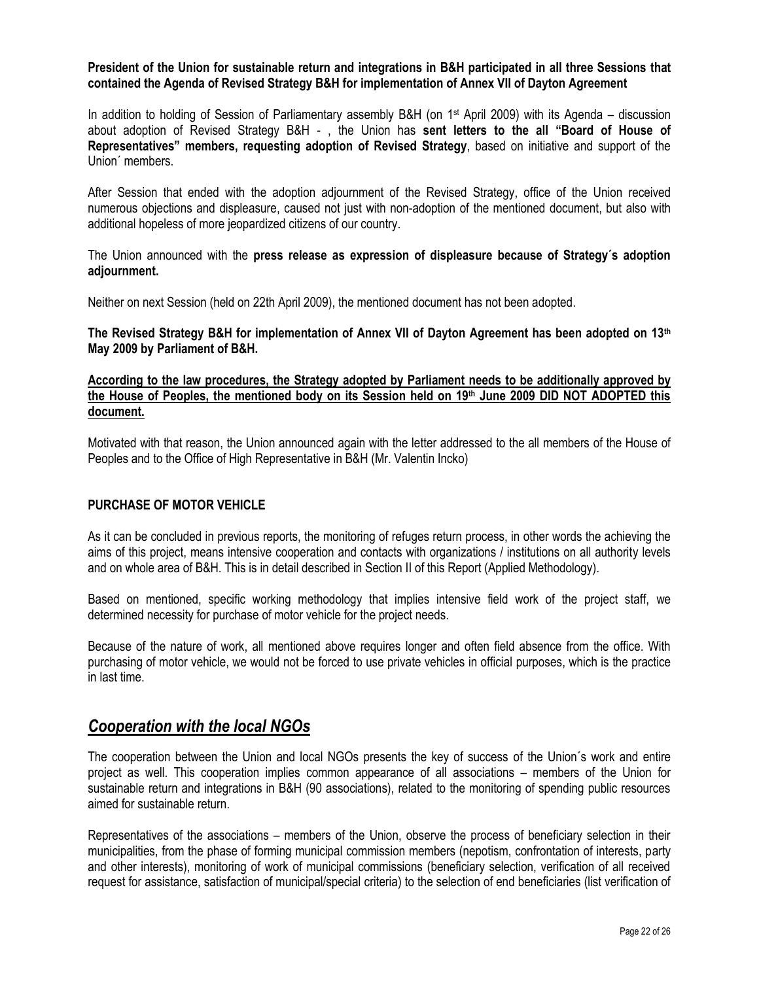#### **President of the Union for sustainable return and integrations in B&H participated in all three Sessions that contained the Agenda of Revised Strategy B&H for implementation of Annex VII of Dayton Agreement**

In addition to holding of Session of Parliamentary assembly B&H (on 1st April 2009) with its Agenda – discussion about adoption of Revised Strategy B&H - , the Union has **sent letters to the all "Board of House of Representatives" members, requesting adoption of Revised Strategy**, based on initiative and support of the Union´ members.

After Session that ended with the adoption adjournment of the Revised Strategy, office of the Union received numerous objections and displeasure, caused not just with non-adoption of the mentioned document, but also with additional hopeless of more jeopardized citizens of our country.

The Union announced with the **press release as expression of displeasure because of Strategy´s adoption adjournment.**

Neither on next Session (held on 22th April 2009), the mentioned document has not been adopted.

**The Revised Strategy B&H for implementation of Annex VII of Dayton Agreement has been adopted on 13th May 2009 by Parliament of B&H.** 

#### **According to the law procedures, the Strategy adopted by Parliament needs to be additionally approved by the House of Peoples, the mentioned body on its Session held on 19th June 2009 DID NOT ADOPTED this document.**

Motivated with that reason, the Union announced again with the letter addressed to the all members of the House of Peoples and to the Office of High Representative in B&H (Mr. Valentin Incko)

#### **PURCHASE OF MOTOR VEHICLE**

As it can be concluded in previous reports, the monitoring of refuges return process, in other words the achieving the aims of this project, means intensive cooperation and contacts with organizations / institutions on all authority levels and on whole area of B&H. This is in detail described in Section II of this Report (Applied Methodology).

Based on mentioned, specific working methodology that implies intensive field work of the project staff, we determined necessity for purchase of motor vehicle for the project needs.

Because of the nature of work, all mentioned above requires longer and often field absence from the office. With purchasing of motor vehicle, we would not be forced to use private vehicles in official purposes, which is the practice in last time.

### *Cooperation with the local NGOs*

The cooperation between the Union and local NGOs presents the key of success of the Union´s work and entire project as well. This cooperation implies common appearance of all associations – members of the Union for sustainable return and integrations in B&H (90 associations), related to the monitoring of spending public resources aimed for sustainable return.

Representatives of the associations – members of the Union, observe the process of beneficiary selection in their municipalities, from the phase of forming municipal commission members (nepotism, confrontation of interests, party and other interests), monitoring of work of municipal commissions (beneficiary selection, verification of all received request for assistance, satisfaction of municipal/special criteria) to the selection of end beneficiaries (list verification of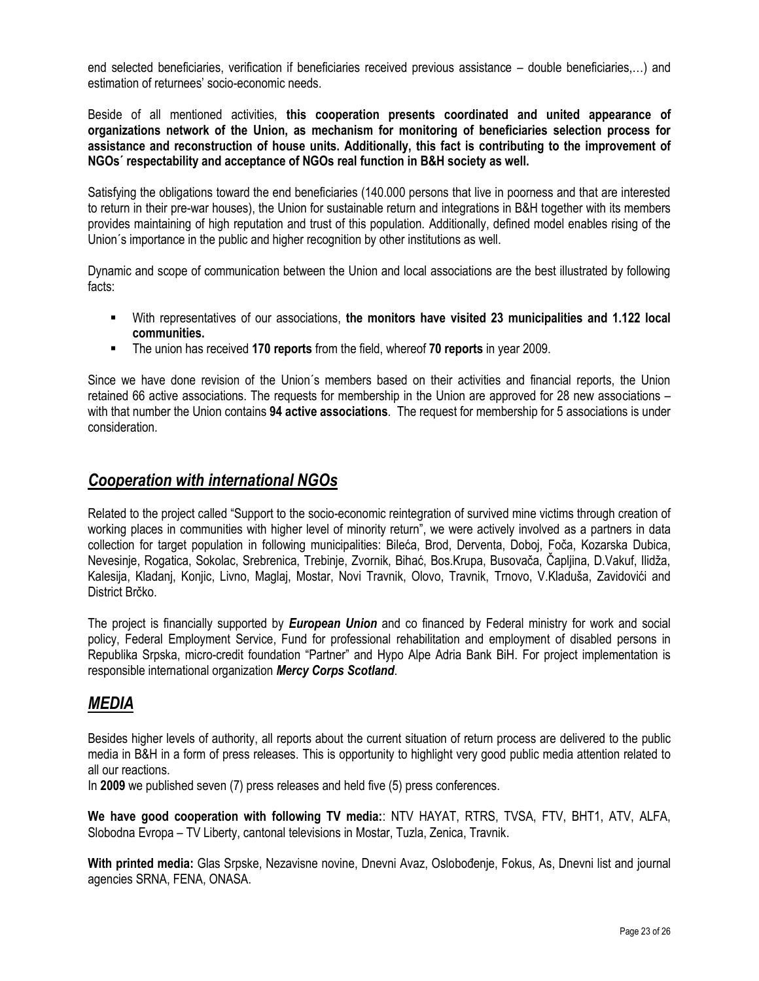end selected beneficiaries, verification if beneficiaries received previous assistance – double beneficiaries,…) and estimation of returnees' socio-economic needs.

Beside of all mentioned activities, **this cooperation presents coordinated and united appearance of organizations network of the Union, as mechanism for monitoring of beneficiaries selection process for assistance and reconstruction of house units. Additionally, this fact is contributing to the improvement of NGOs´ respectability and acceptance of NGOs real function in B&H society as well.** 

Satisfying the obligations toward the end beneficiaries (140.000 persons that live in poorness and that are interested to return in their pre-war houses), the Union for sustainable return and integrations in B&H together with its members provides maintaining of high reputation and trust of this population. Additionally, defined model enables rising of the Union´s importance in the public and higher recognition by other institutions as well.

Dynamic and scope of communication between the Union and local associations are the best illustrated by following facts:

- With representatives of our associations, **the monitors have visited 23 municipalities and 1.122 local communities.**
- The union has received **170 reports** from the field, whereof **70 reports** in year 2009.

Since we have done revision of the Union´s members based on their activities and financial reports, the Union retained 66 active associations. The requests for membership in the Union are approved for 28 new associations – with that number the Union contains **94 active associations**. The request for membership for 5 associations is under consideration.

### *Cooperation with international NGOs*

Related to the project called "Support to the socio-economic reintegration of survived mine victims through creation of working places in communities with higher level of minority return", we were actively involved as a partners in data collection for target population in following municipalities: Bileća, Brod, Derventa, Doboj, Foĉa, Kozarska Dubica, Nevesinje, Rogatica, Sokolac, Srebrenica, Trebinje, Zvornik, Bihać, Bos.Krupa, Busovača, Čapljina, D.Vakuf, Ilidža, Kalesija, Kladanj, Konjic, Livno, Maglaj, Mostar, Novi Travnik, Olovo, Travnik, Trnovo, V.Kladuša, Zavidovići and District Brĉko.

The project is financially supported by *European Union* and co financed by Federal ministry for work and social policy, Federal Employment Service, Fund for professional rehabilitation and employment of disabled persons in Republika Srpska, micro-credit foundation "Partner" and Hypo Alpe Adria Bank BiH. For project implementation is responsible international organization *Mercy Corps Scotland*.

### *MEDIA*

Besides higher levels of authority, all reports about the current situation of return process are delivered to the public media in B&H in a form of press releases. This is opportunity to highlight very good public media attention related to all our reactions.

In **2009** we published seven (7) press releases and held five (5) press conferences.

**We have good cooperation with following TV media:**: NTV HAYAT, RTRS, TVSA, FTV, BHT1, ATV, ALFA, Slobodna Evropa – TV Liberty, cantonal televisions in Mostar, Tuzla, Zenica, Travnik.

**With printed media:** Glas Srpske, Nezavisne novine, Dnevni Avaz, Oslobođenje, Fokus, As, Dnevni list and journal agencies SRNA, FENA, ONASA.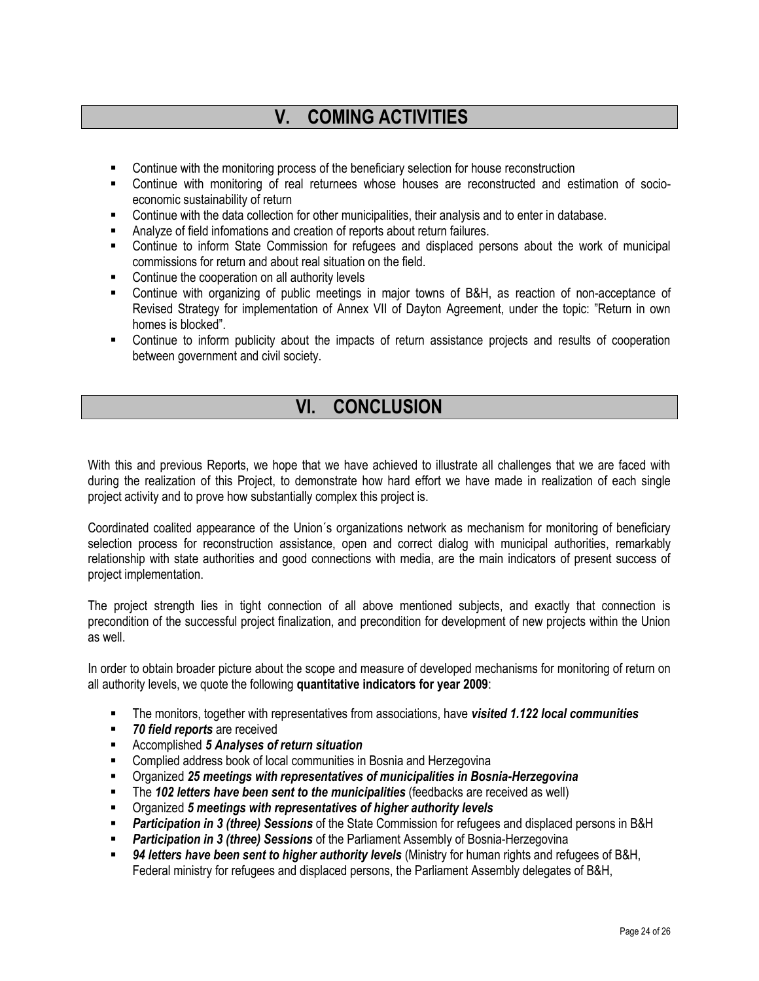# **V. COMING ACTIVITIES**

- Continue with the monitoring process of the beneficiary selection for house reconstruction
- Continue with monitoring of real returnees whose houses are reconstructed and estimation of socioeconomic sustainability of return
- Continue with the data collection for other municipalities, their analysis and to enter in database.
- Analyze of field infomations and creation of reports about return failures.
- Continue to inform State Commission for refugees and displaced persons about the work of municipal commissions for return and about real situation on the field.
- Continue the cooperation on all authority levels
- Continue with organizing of public meetings in major towns of B&H, as reaction of non-acceptance of Revised Strategy for implementation of Annex VII of Dayton Agreement, under the topic: "Return in own homes is blocked".
- Continue to inform publicity about the impacts of return assistance projects and results of cooperation between government and civil society.

## **VI. CONCLUSION**

With this and previous Reports, we hope that we have achieved to illustrate all challenges that we are faced with during the realization of this Project, to demonstrate how hard effort we have made in realization of each single project activity and to prove how substantially complex this project is.

Coordinated coalited appearance of the Union´s organizations network as mechanism for monitoring of beneficiary selection process for reconstruction assistance, open and correct dialog with municipal authorities, remarkably relationship with state authorities and good connections with media, are the main indicators of present success of project implementation.

The project strength lies in tight connection of all above mentioned subjects, and exactly that connection is precondition of the successful project finalization, and precondition for development of new projects within the Union as well.

In order to obtain broader picture about the scope and measure of developed mechanisms for monitoring of return on all authority levels, we quote the following **quantitative indicators for year 2009**:

- The monitors, together with representatives from associations, have *visited 1.122 local communities*
- *70 field reports* are received
- Accomplished *5 Analyses of return situation*
- **EXECOMPLED EXECOMPLE 2015** Complied address book of local communities in Bosnia and Herzegovina
- Organized *25 meetings with representatives of municipalities in Bosnia-Herzegovina*
- The *102 letters have been sent to the municipalities* (feedbacks are received as well)
- Organized *5 meetings with representatives of higher authority levels*
- *Participation in 3 (three) Sessions* of the State Commission for refugees and displaced persons in B&H
- **Participation in 3 (three) Sessions** of the Parliament Assembly of Bosnia-Herzegovina
- *94 letters have been sent to higher authority levels* (Ministry for human rights and refugees of B&H, Federal ministry for refugees and displaced persons, the Parliament Assembly delegates of B&H,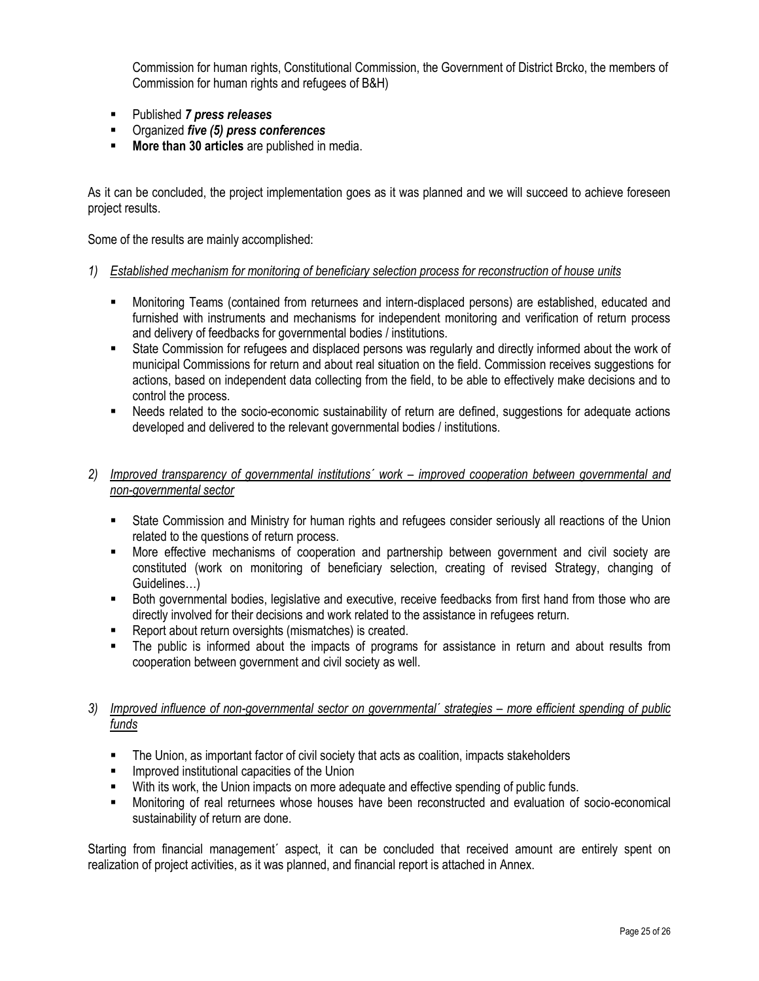Commission for human rights, Constitutional Commission, the Government of District Brcko, the members of Commission for human rights and refugees of B&H)

- Published *7 press releases*
- Organized *five (5) press conferences*
- **More than 30 articles** are published in media.

As it can be concluded, the project implementation goes as it was planned and we will succeed to achieve foreseen project results.

Some of the results are mainly accomplished:

#### *1) Established mechanism for monitoring of beneficiary selection process for reconstruction of house units*

- Monitoring Teams (contained from returnees and intern-displaced persons) are established, educated and furnished with instruments and mechanisms for independent monitoring and verification of return process and delivery of feedbacks for governmental bodies / institutions.
- State Commission for refugees and displaced persons was regularly and directly informed about the work of municipal Commissions for return and about real situation on the field. Commission receives suggestions for actions, based on independent data collecting from the field, to be able to effectively make decisions and to control the process.
- Needs related to the socio-economic sustainability of return are defined, suggestions for adequate actions developed and delivered to the relevant governmental bodies / institutions.
- 2) *Improved transparency of governmental institutions' work improved cooperation between governmental and non-governmental sector* 
	- State Commission and Ministry for human rights and refugees consider seriously all reactions of the Union related to the questions of return process.
	- More effective mechanisms of cooperation and partnership between government and civil society are constituted (work on monitoring of beneficiary selection, creating of revised Strategy, changing of Guidelines…)
	- Both governmental bodies, legislative and executive, receive feedbacks from first hand from those who are directly involved for their decisions and work related to the assistance in refugees return.
	- Report about return oversights (mismatches) is created.
	- The public is informed about the impacts of programs for assistance in return and about results from cooperation between government and civil society as well.

### 3) Improved influence of non-governmental sector on governmental' strategies – more efficient spending of public *funds*

- The Union, as important factor of civil society that acts as coalition, impacts stakeholders
- **IMPROVED INSTANGE IN A LIMP IS A LIMP IN A LIMP IS A LIMP IS A LIMP IS A LIMP IS A LIM**
- With its work, the Union impacts on more adequate and effective spending of public funds.
- Monitoring of real returnees whose houses have been reconstructed and evaluation of socio-economical sustainability of return are done.

Starting from financial management' aspect, it can be concluded that received amount are entirely spent on realization of project activities, as it was planned, and financial report is attached in Annex.